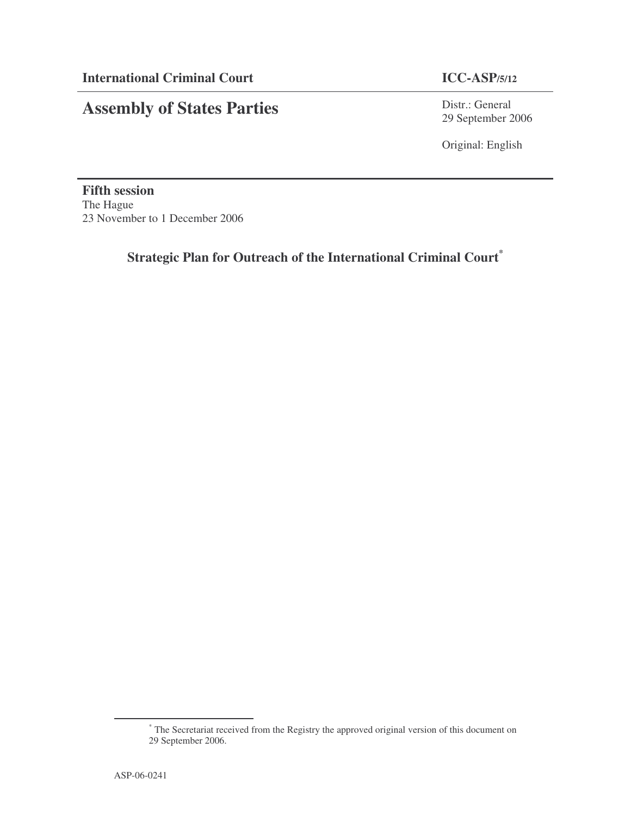# **Assembly of States Parties**

Distr.: General 29 September 2006

Original: English

**Fifth session** The Hague 23 November to 1 December 2006

# **Strategic Plan for Outreach of the International Criminal Court \***

<sup>\*</sup> The Secretariat received from the Registry the approved original version of this document on 29 September 2006.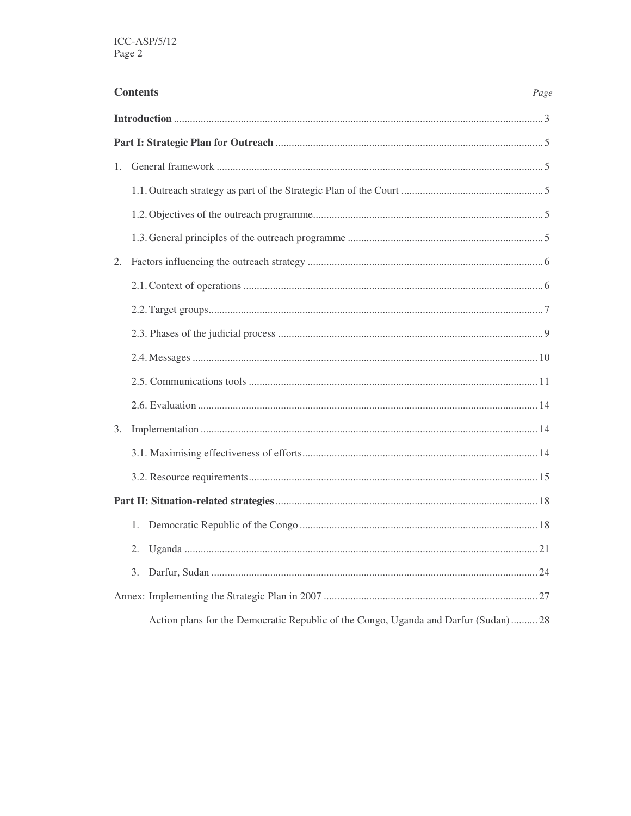|             | <b>Contents</b><br>Page                                                            |  |  |  |  |
|-------------|------------------------------------------------------------------------------------|--|--|--|--|
|             |                                                                                    |  |  |  |  |
|             |                                                                                    |  |  |  |  |
| $1_{\cdot}$ |                                                                                    |  |  |  |  |
|             |                                                                                    |  |  |  |  |
|             |                                                                                    |  |  |  |  |
|             |                                                                                    |  |  |  |  |
|             |                                                                                    |  |  |  |  |
|             |                                                                                    |  |  |  |  |
|             |                                                                                    |  |  |  |  |
|             |                                                                                    |  |  |  |  |
|             |                                                                                    |  |  |  |  |
|             |                                                                                    |  |  |  |  |
|             |                                                                                    |  |  |  |  |
| 3.          |                                                                                    |  |  |  |  |
|             |                                                                                    |  |  |  |  |
|             |                                                                                    |  |  |  |  |
|             |                                                                                    |  |  |  |  |
|             | 1.                                                                                 |  |  |  |  |
|             | 2.                                                                                 |  |  |  |  |
|             | 3.                                                                                 |  |  |  |  |
|             |                                                                                    |  |  |  |  |
|             | Action plans for the Democratic Republic of the Congo, Uganda and Darfur (Sudan)28 |  |  |  |  |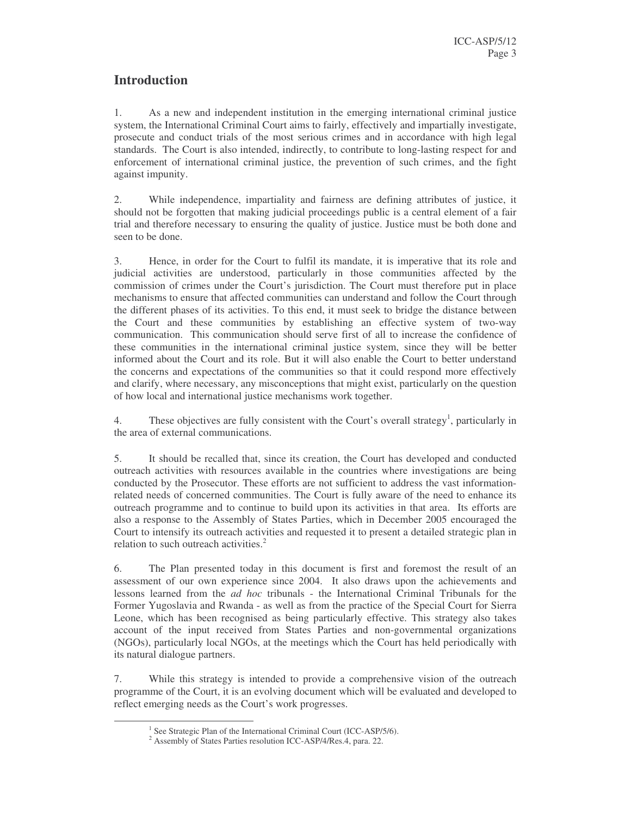# **Introduction**

1. As a new and independent institution in the emerging international criminal justice system, the International Criminal Court aims to fairly, effectively and impartially investigate, prosecute and conduct trials of the most serious crimes and in accordance with high legal standards. The Court is also intended, indirectly, to contribute to long-lasting respect for and enforcement of international criminal justice, the prevention of such crimes, and the fight against impunity.

2. While independence, impartiality and fairness are defining attributes of justice, it should not be forgotten that making judicial proceedings public is a central element of a fair trial and therefore necessary to ensuring the quality of justice. Justice must be both done and seen to be done.

3. Hence, in order for the Court to fulfil its mandate, it is imperative that its role and judicial activities are understood, particularly in those communities affected by the commission of crimes under the Court's jurisdiction. The Court must therefore put in place mechanisms to ensure that affected communities can understand and follow the Court through the different phases of its activities. To this end, it must seek to bridge the distance between the Court and these communities by establishing an effective system of two-way communication. This communication should serve first of all to increase the confidence of these communities in the international criminal justice system, since they will be better informed about the Court and its role. But it will also enable the Court to better understand the concerns and expectations of the communities so that it could respond more effectively and clarify, where necessary, any misconceptions that might exist, particularly on the question of how local and international justice mechanisms work together.

4. These objectives are fully consistent with the Court's overall strategy<sup>1</sup>, particularly in the area of external communications.

5. It should be recalled that, since its creation, the Court has developed and conducted outreach activities with resources available in the countries where investigations are being conducted by the Prosecutor. These efforts are not sufficient to address the vast informationrelated needs of concerned communities. The Court is fully aware of the need to enhance its outreach programme and to continue to build upon its activities in that area. Its efforts are also a response to the Assembly of States Parties, which in December 2005 encouraged the Court to intensify its outreach activities and requested it to present a detailed strategic plan in relation to such outreach activities.<sup>2</sup>

6. The Plan presented today in this document is first and foremost the result of an assessment of our own experience since 2004. It also draws upon the achievements and lessons learned from the *ad hoc* tribunals - the International Criminal Tribunals for the Former Yugoslavia and Rwanda - as well as from the practice of the Special Court for Sierra Leone, which has been recognised as being particularly effective. This strategy also takes account of the input received from States Parties and non-governmental organizations (NGOs), particularly local NGOs, at the meetings which the Court has held periodically with its natural dialogue partners.

7. While this strategy is intended to provide a comprehensive vision of the outreach programme of the Court, it is an evolving document which will be evaluated and developed to reflect emerging needs as the Court's work progresses.

<sup>&</sup>lt;sup>1</sup> See Strategic Plan of the International Criminal Court (ICC-ASP/5/6).

<sup>2</sup> Assembly of States Parties resolution ICC-ASP/4/Res.4, para. 22.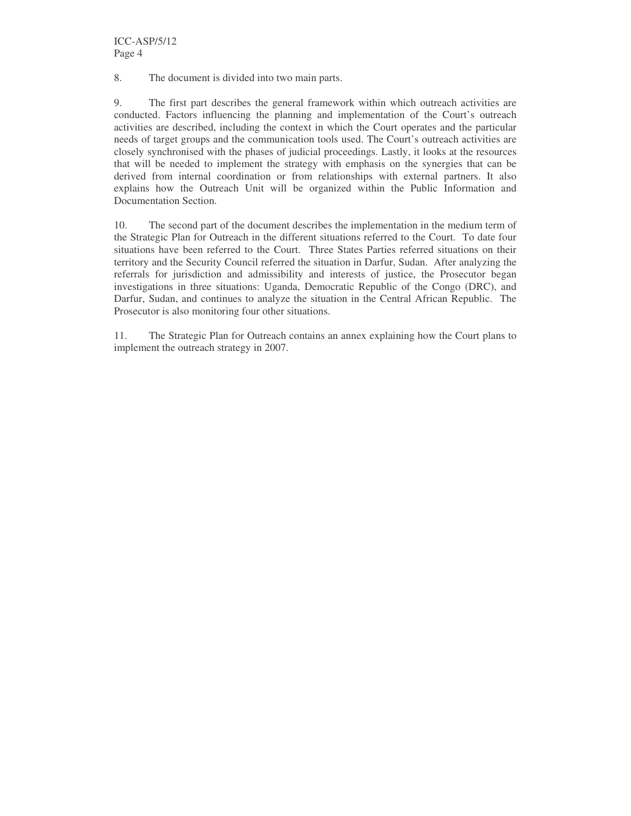8. The document is divided into two main parts.

9. The first part describes the general framework within which outreach activities are conducted. Factors influencing the planning and implementation of the Court's outreach activities are described, including the context in which the Court operates and the particular needs of target groups and the communication tools used. The Court's outreach activities are closely synchronised with the phases of judicial proceedings. Lastly, it looks at the resources that will be needed to implement the strategy with emphasis on the synergies that can be derived from internal coordination or from relationships with external partners. It also explains how the Outreach Unit will be organized within the Public Information and Documentation Section.

10. The second part of the document describes the implementation in the medium term of the Strategic Plan for Outreach in the different situations referred to the Court. To date four situations have been referred to the Court. Three States Parties referred situations on their territory and the Security Council referred the situation in Darfur, Sudan. After analyzing the referrals for jurisdiction and admissibility and interests of justice, the Prosecutor began investigations in three situations: Uganda, Democratic Republic of the Congo (DRC), and Darfur, Sudan, and continues to analyze the situation in the Central African Republic. The Prosecutor is also monitoring four other situations.

11. The Strategic Plan for Outreach contains an annex explaining how the Court plans to implement the outreach strategy in 2007.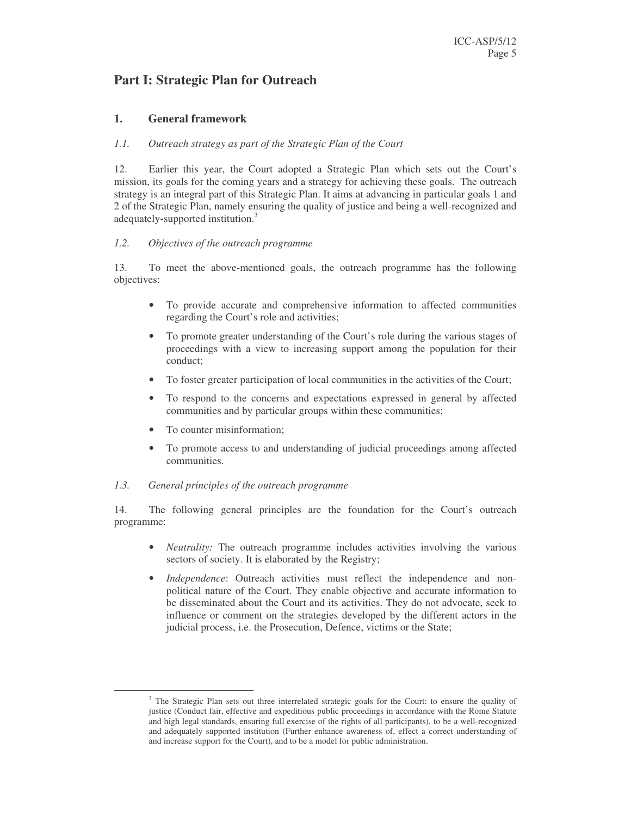# **Part I: Strategic Plan for Outreach**

# **1. General framework**

#### *1.1. Outreach strategy as part of the Strategic Plan of the Court*

12. Earlier this year, the Court adopted a Strategic Plan which sets out the Court's mission, its goals for the coming years and a strategy for achieving these goals. The outreach strategy is an integral part of this Strategic Plan. It aims at advancing in particular goals 1 and 2 of the Strategic Plan, namely ensuring the quality of justice and being a well-recognized and adequately-supported institution.<sup>3</sup>

#### *1.2. Objectives of the outreach programme*

13. To meet the above-mentioned goals, the outreach programme has the following objectives:

- To provide accurate and comprehensive information to affected communities regarding the Court's role and activities;
- To promote greater understanding of the Court's role during the various stages of proceedings with a view to increasing support among the population for their conduct;
- To foster greater participation of local communities in the activities of the Court;
- To respond to the concerns and expectations expressed in general by affected communities and by particular groups within these communities;
- To counter misinformation;
- To promote access to and understanding of judicial proceedings among affected communities.

#### *1.3. General principles of the outreach programme*

14. The following general principles are the foundation for the Court's outreach programme:

- *Neutrality:* The outreach programme includes activities involving the various sectors of society. It is elaborated by the Registry;
- *Independence*: Outreach activities must reflect the independence and nonpolitical nature of the Court. They enable objective and accurate information to be disseminated about the Court and its activities. They do not advocate, seek to influence or comment on the strategies developed by the different actors in the judicial process, i.e. the Prosecution, Defence, victims or the State;

<sup>&</sup>lt;sup>3</sup> The Strategic Plan sets out three interrelated strategic goals for the Court: to ensure the quality of justice (Conduct fair, effective and expeditious public proceedings in accordance with the Rome Statute and high legal standards, ensuring full exercise of the rights of all participants), to be a well-recognized and adequately supported institution (Further enhance awareness of, effect a correct understanding of and increase support for the Court), and to be a model for public administration.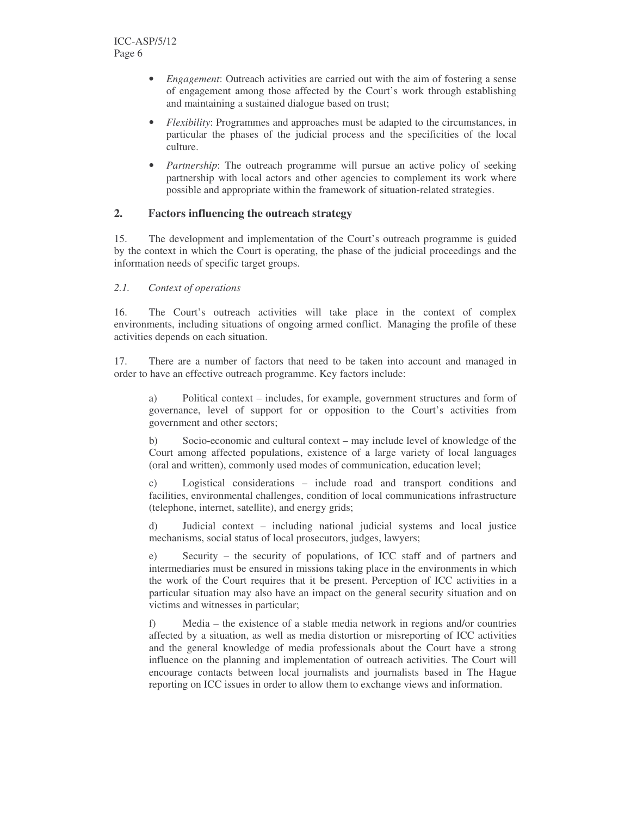- *Engagement*: Outreach activities are carried out with the aim of fostering a sense of engagement among those affected by the Court's work through establishing and maintaining a sustained dialogue based on trust;
- *Flexibility*: Programmes and approaches must be adapted to the circumstances, in particular the phases of the judicial process and the specificities of the local culture.
- *Partnership*: The outreach programme will pursue an active policy of seeking partnership with local actors and other agencies to complement its work where possible and appropriate within the framework of situation-related strategies.

# **2. Factors influencing the outreach strategy**

15. The development and implementation of the Court's outreach programme is guided by the context in which the Court is operating, the phase of the judicial proceedings and the information needs of specific target groups.

## *2.1. Context of operations*

16. The Court's outreach activities will take place in the context of complex environments, including situations of ongoing armed conflict. Managing the profile of these activities depends on each situation.

17. There are a number of factors that need to be taken into account and managed in order to have an effective outreach programme. Key factors include:

a) Political context – includes, for example, government structures and form of governance, level of support for or opposition to the Court's activities from government and other sectors;

b) Socio-economic and cultural context – may include level of knowledge of the Court among affected populations, existence of a large variety of local languages (oral and written), commonly used modes of communication, education level;

c) Logistical considerations – include road and transport conditions and facilities, environmental challenges, condition of local communications infrastructure (telephone, internet, satellite), and energy grids;

d) Judicial context – including national judicial systems and local justice mechanisms, social status of local prosecutors, judges, lawyers;

e) Security – the security of populations, of ICC staff and of partners and intermediaries must be ensured in missions taking place in the environments in which the work of the Court requires that it be present. Perception of ICC activities in a particular situation may also have an impact on the general security situation and on victims and witnesses in particular;

f) Media – the existence of a stable media network in regions and/or countries affected by a situation, as well as media distortion or misreporting of ICC activities and the general knowledge of media professionals about the Court have a strong influence on the planning and implementation of outreach activities. The Court will encourage contacts between local journalists and journalists based in The Hague reporting on ICC issues in order to allow them to exchange views and information.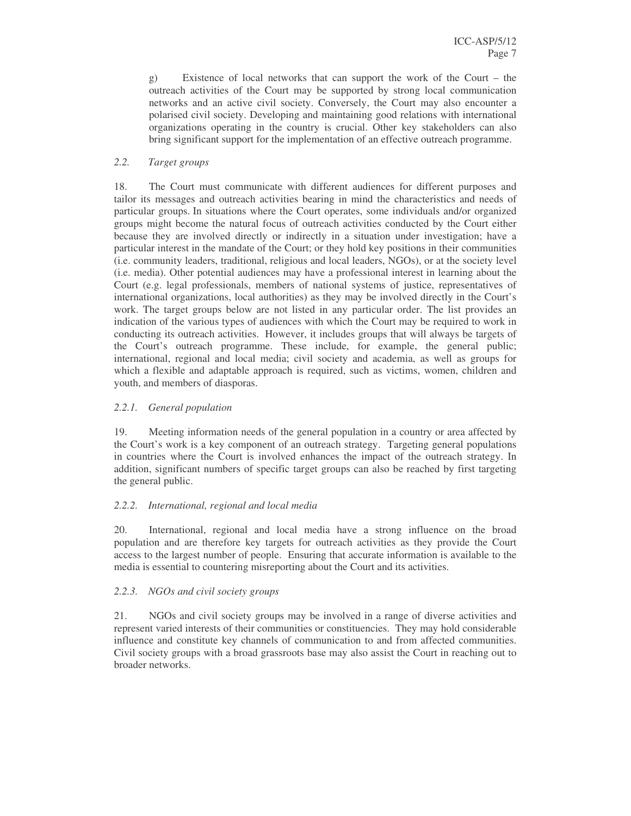g) Existence of local networks that can support the work of the Court – the outreach activities of the Court may be supported by strong local communication networks and an active civil society. Conversely, the Court may also encounter a polarised civil society. Developing and maintaining good relations with international organizations operating in the country is crucial. Other key stakeholders can also bring significant support for the implementation of an effective outreach programme.

# *2.2. Target groups*

18. The Court must communicate with different audiences for different purposes and tailor its messages and outreach activities bearing in mind the characteristics and needs of particular groups. In situations where the Court operates, some individuals and/or organized groups might become the natural focus of outreach activities conducted by the Court either because they are involved directly or indirectly in a situation under investigation; have a particular interest in the mandate of the Court; or they hold key positions in their communities (i.e. community leaders, traditional, religious and local leaders, NGOs), or at the society level (i.e. media). Other potential audiences may have a professional interest in learning about the Court (e.g. legal professionals, members of national systems of justice, representatives of international organizations, local authorities) as they may be involved directly in the Court's work. The target groups below are not listed in any particular order. The list provides an indication of the various types of audiences with which the Court may be required to work in conducting its outreach activities. However, it includes groups that will always be targets of the Court's outreach programme. These include, for example, the general public; international, regional and local media; civil society and academia, as well as groups for which a flexible and adaptable approach is required, such as victims, women, children and youth, and members of diasporas.

# *2.2.1. General population*

19. Meeting information needs of the general population in a country or area affected by the Court's work is a key component of an outreach strategy. Targeting general populations in countries where the Court is involved enhances the impact of the outreach strategy. In addition, significant numbers of specific target groups can also be reached by first targeting the general public.

## *2.2.2. International, regional and local media*

20. International, regional and local media have a strong influence on the broad population and are therefore key targets for outreach activities as they provide the Court access to the largest number of people. Ensuring that accurate information is available to the media is essential to countering misreporting about the Court and its activities.

## *2.2.3. NGOs and civil society groups*

21. NGOs and civil society groups may be involved in a range of diverse activities and represent varied interests of their communities or constituencies. They may hold considerable influence and constitute key channels of communication to and from affected communities. Civil society groups with a broad grassroots base may also assist the Court in reaching out to broader networks.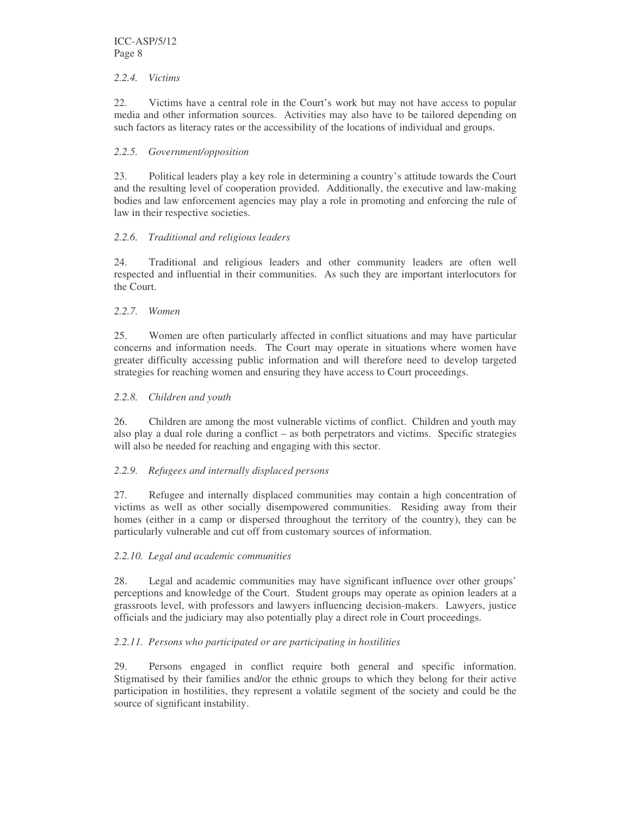## *2.2.4. Victims*

22. Victims have a central role in the Court's work but may not have access to popular media and other information sources. Activities may also have to be tailored depending on such factors as literacy rates or the accessibility of the locations of individual and groups.

# *2.2.5. Government/opposition*

23. Political leaders play a key role in determining a country's attitude towards the Court and the resulting level of cooperation provided. Additionally, the executive and law-making bodies and law enforcement agencies may play a role in promoting and enforcing the rule of law in their respective societies.

# *2.2.6. Traditional and religious leaders*

24. Traditional and religious leaders and other community leaders are often well respected and influential in their communities. As such they are important interlocutors for the Court.

# *2.2.7. Women*

25. Women are often particularly affected in conflict situations and may have particular concerns and information needs. The Court may operate in situations where women have greater difficulty accessing public information and will therefore need to develop targeted strategies for reaching women and ensuring they have access to Court proceedings.

# *2.2.8. Children and youth*

26. Children are among the most vulnerable victims of conflict. Children and youth may also play a dual role during a conflict – as both perpetrators and victims. Specific strategies will also be needed for reaching and engaging with this sector.

# *2.2.9. Refugees and internally displaced persons*

27. Refugee and internally displaced communities may contain a high concentration of victims as well as other socially disempowered communities. Residing away from their homes (either in a camp or dispersed throughout the territory of the country), they can be particularly vulnerable and cut off from customary sources of information.

## *2.2.10. Legal and academic communities*

28. Legal and academic communities may have significant influence over other groups' perceptions and knowledge of the Court. Student groups may operate as opinion leaders at a grassroots level, with professors and lawyers influencing decision-makers. Lawyers, justice officials and the judiciary may also potentially play a direct role in Court proceedings.

# *2.2.11. Persons who participated or are participating in hostilities*

29. Persons engaged in conflict require both general and specific information. Stigmatised by their families and/or the ethnic groups to which they belong for their active participation in hostilities, they represent a volatile segment of the society and could be the source of significant instability.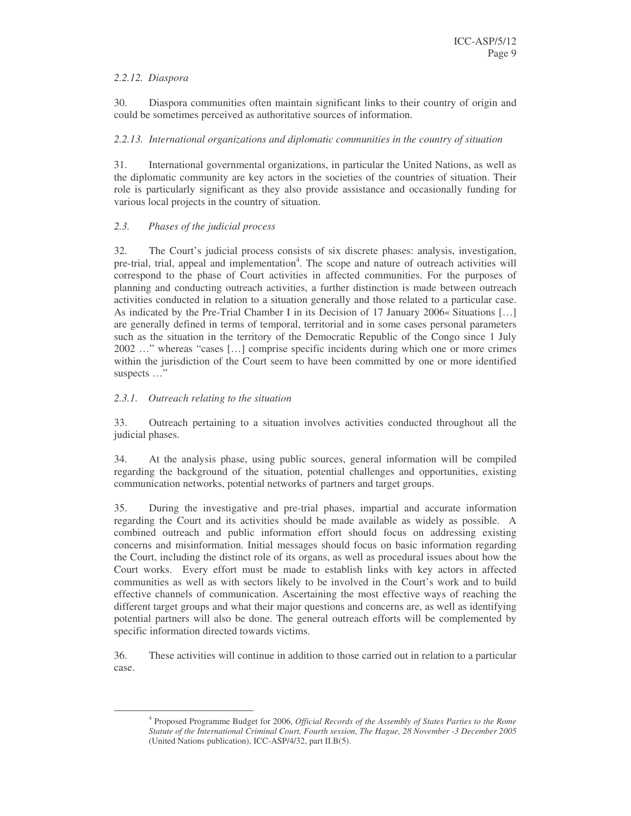# *2.2.12. Diaspora*

30. Diaspora communities often maintain significant links to their country of origin and could be sometimes perceived as authoritative sources of information.

# *2.2.13. International organizations and diplomatic communities in the country of situation*

31. International governmental organizations, in particular the United Nations, as well as the diplomatic community are key actors in the societies of the countries of situation. Their role is particularly significant as they also provide assistance and occasionally funding for various local projects in the country of situation.

# *2.3. Phases of the judicial process*

32. The Court's judicial process consists of six discrete phases: analysis, investigation, pre-trial, trial, appeal and implementation<sup>4</sup>. The scope and nature of outreach activities will correspond to the phase of Court activities in affected communities. For the purposes of planning and conducting outreach activities, a further distinction is made between outreach activities conducted in relation to a situation generally and those related to a particular case. As indicated by the Pre-Trial Chamber I in its Decision of 17 January 2006« Situations […] are generally defined in terms of temporal, territorial and in some cases personal parameters such as the situation in the territory of the Democratic Republic of the Congo since 1 July 2002 …" whereas "cases […] comprise specific incidents during which one or more crimes within the jurisdiction of the Court seem to have been committed by one or more identified suspects …"

# *2.3.1. Outreach relating to the situation*

33. Outreach pertaining to a situation involves activities conducted throughout all the judicial phases.

34. At the analysis phase, using public sources, general information will be compiled regarding the background of the situation, potential challenges and opportunities, existing communication networks, potential networks of partners and target groups.

35. During the investigative and pre-trial phases, impartial and accurate information regarding the Court and its activities should be made available as widely as possible. A combined outreach and public information effort should focus on addressing existing concerns and misinformation. Initial messages should focus on basic information regarding the Court, including the distinct role of its organs, as well as procedural issues about how the Court works. Every effort must be made to establish links with key actors in affected communities as well as with sectors likely to be involved in the Court's work and to build effective channels of communication. Ascertaining the most effective ways of reaching the different target groups and what their major questions and concerns are, as well as identifying potential partners will also be done. The general outreach efforts will be complemented by specific information directed towards victims.

36. These activities will continue in addition to those carried out in relation to a particular case.

<sup>4</sup> Proposed Programme Budget for 2006, *Official Records of the Assembly of States Parties to the Rome Statute of the International Criminal Court, Fourth session, The Hague, 28 November -3 December 2005* (United Nations publication), ICC-ASP/4/32, part II.B(5).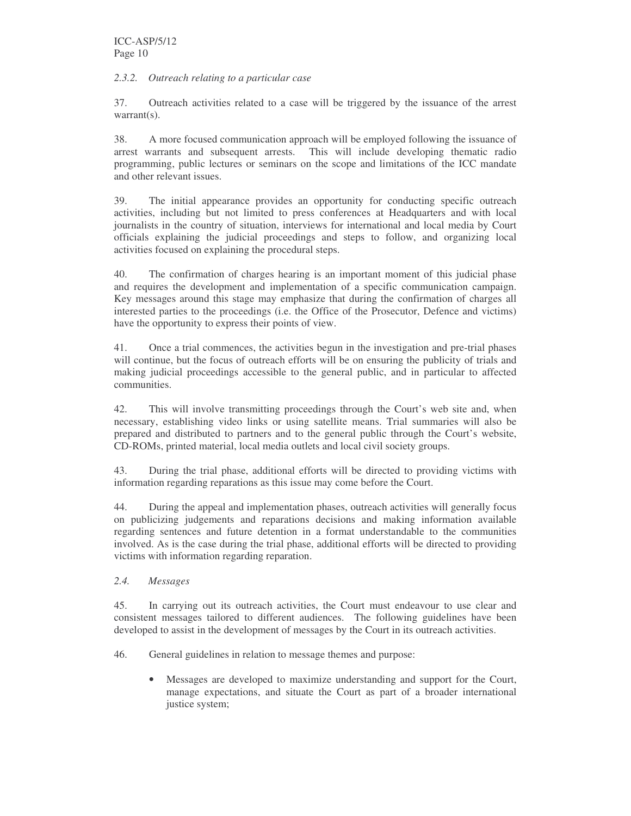# *2.3.2. Outreach relating to a particular case*

37. Outreach activities related to a case will be triggered by the issuance of the arrest warrant(s).

38. A more focused communication approach will be employed following the issuance of arrest warrants and subsequent arrests. This will include developing thematic radio programming, public lectures or seminars on the scope and limitations of the ICC mandate and other relevant issues.

39. The initial appearance provides an opportunity for conducting specific outreach activities, including but not limited to press conferences at Headquarters and with local journalists in the country of situation, interviews for international and local media by Court officials explaining the judicial proceedings and steps to follow, and organizing local activities focused on explaining the procedural steps.

40. The confirmation of charges hearing is an important moment of this judicial phase and requires the development and implementation of a specific communication campaign. Key messages around this stage may emphasize that during the confirmation of charges all interested parties to the proceedings (i.e. the Office of the Prosecutor, Defence and victims) have the opportunity to express their points of view.

41. Once a trial commences, the activities begun in the investigation and pre-trial phases will continue, but the focus of outreach efforts will be on ensuring the publicity of trials and making judicial proceedings accessible to the general public, and in particular to affected communities.

42. This will involve transmitting proceedings through the Court's web site and, when necessary, establishing video links or using satellite means. Trial summaries will also be prepared and distributed to partners and to the general public through the Court's website, CD-ROMs, printed material, local media outlets and local civil society groups.

43. During the trial phase, additional efforts will be directed to providing victims with information regarding reparations as this issue may come before the Court.

44. During the appeal and implementation phases, outreach activities will generally focus on publicizing judgements and reparations decisions and making information available regarding sentences and future detention in a format understandable to the communities involved. As is the case during the trial phase, additional efforts will be directed to providing victims with information regarding reparation.

*2.4. Messages*

45. In carrying out its outreach activities, the Court must endeavour to use clear and consistent messages tailored to different audiences. The following guidelines have been developed to assist in the development of messages by the Court in its outreach activities.

46. General guidelines in relation to message themes and purpose:

• Messages are developed to maximize understanding and support for the Court, manage expectations, and situate the Court as part of a broader international justice system;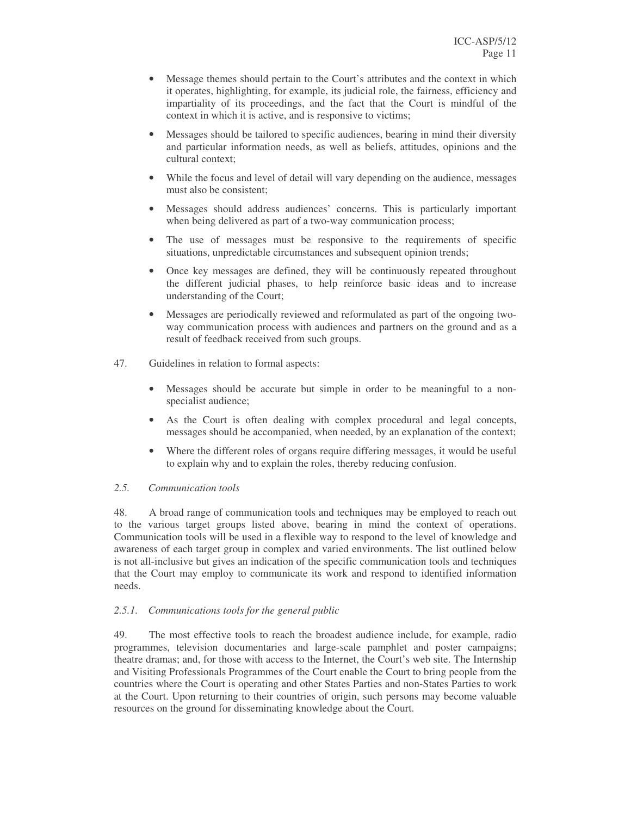- Message themes should pertain to the Court's attributes and the context in which it operates, highlighting, for example, its judicial role, the fairness, efficiency and impartiality of its proceedings, and the fact that the Court is mindful of the context in which it is active, and is responsive to victims;
- Messages should be tailored to specific audiences, bearing in mind their diversity and particular information needs, as well as beliefs, attitudes, opinions and the cultural context;
- While the focus and level of detail will vary depending on the audience, messages must also be consistent;
- Messages should address audiences' concerns. This is particularly important when being delivered as part of a two-way communication process;
- The use of messages must be responsive to the requirements of specific situations, unpredictable circumstances and subsequent opinion trends;
- Once key messages are defined, they will be continuously repeated throughout the different judicial phases, to help reinforce basic ideas and to increase understanding of the Court;
- Messages are periodically reviewed and reformulated as part of the ongoing twoway communication process with audiences and partners on the ground and as a result of feedback received from such groups.
- 47. Guidelines in relation to formal aspects:
	- Messages should be accurate but simple in order to be meaningful to a nonspecialist audience;
	- As the Court is often dealing with complex procedural and legal concepts, messages should be accompanied, when needed, by an explanation of the context;
	- Where the different roles of organs require differing messages, it would be useful to explain why and to explain the roles, thereby reducing confusion.

## *2.5. Communication tools*

48. A broad range of communication tools and techniques may be employed to reach out to the various target groups listed above, bearing in mind the context of operations. Communication tools will be used in a flexible way to respond to the level of knowledge and awareness of each target group in complex and varied environments. The list outlined below is not all-inclusive but gives an indication of the specific communication tools and techniques that the Court may employ to communicate its work and respond to identified information needs.

## *2.5.1. Communications tools for the general public*

49. The most effective tools to reach the broadest audience include, for example, radio programmes, television documentaries and large-scale pamphlet and poster campaigns; theatre dramas; and, for those with access to the Internet, the Court's web site. The Internship and Visiting Professionals Programmes of the Court enable the Court to bring people from the countries where the Court is operating and other States Parties and non-States Parties to work at the Court. Upon returning to their countries of origin, such persons may become valuable resources on the ground for disseminating knowledge about the Court.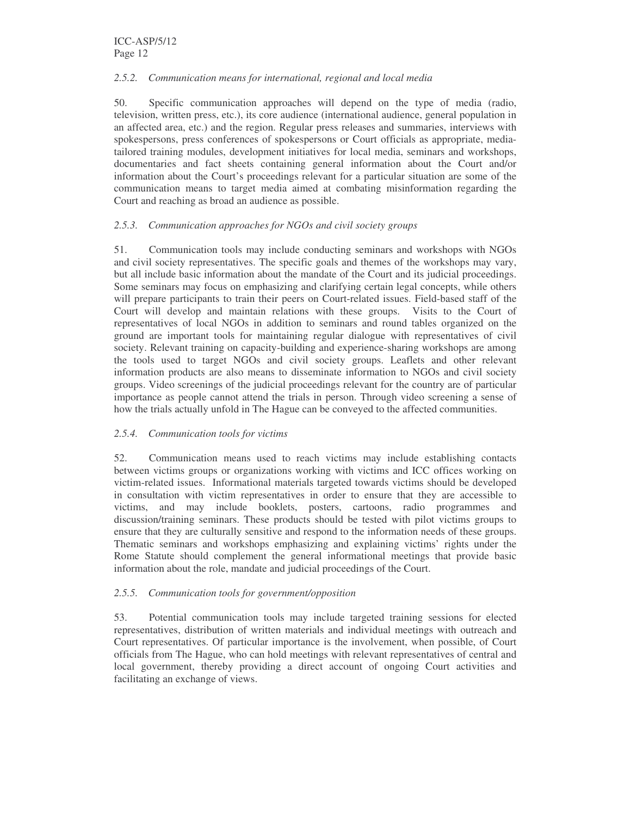# *2.5.2. Communication means for international, regional and local media*

50. Specific communication approaches will depend on the type of media (radio, television, written press, etc.), its core audience (international audience, general population in an affected area, etc.) and the region. Regular press releases and summaries, interviews with spokespersons, press conferences of spokespersons or Court officials as appropriate, mediatailored training modules, development initiatives for local media, seminars and workshops, documentaries and fact sheets containing general information about the Court and/or information about the Court's proceedings relevant for a particular situation are some of the communication means to target media aimed at combating misinformation regarding the Court and reaching as broad an audience as possible.

# *2.5.3. Communication approaches for NGOs and civil society groups*

51. Communication tools may include conducting seminars and workshops with NGOs and civil society representatives. The specific goals and themes of the workshops may vary, but all include basic information about the mandate of the Court and its judicial proceedings. Some seminars may focus on emphasizing and clarifying certain legal concepts, while others will prepare participants to train their peers on Court-related issues. Field-based staff of the Court will develop and maintain relations with these groups. Visits to the Court of representatives of local NGOs in addition to seminars and round tables organized on the ground are important tools for maintaining regular dialogue with representatives of civil society. Relevant training on capacity-building and experience-sharing workshops are among the tools used to target NGOs and civil society groups. Leaflets and other relevant information products are also means to disseminate information to NGOs and civil society groups. Video screenings of the judicial proceedings relevant for the country are of particular importance as people cannot attend the trials in person. Through video screening a sense of how the trials actually unfold in The Hague can be conveyed to the affected communities.

# *2.5.4. Communication tools for victims*

52. Communication means used to reach victims may include establishing contacts between victims groups or organizations working with victims and ICC offices working on victim-related issues. Informational materials targeted towards victims should be developed in consultation with victim representatives in order to ensure that they are accessible to victims, and may include booklets, posters, cartoons, radio programmes and discussion/training seminars. These products should be tested with pilot victims groups to ensure that they are culturally sensitive and respond to the information needs of these groups. Thematic seminars and workshops emphasizing and explaining victims' rights under the Rome Statute should complement the general informational meetings that provide basic information about the role, mandate and judicial proceedings of the Court.

## *2.5.5. Communication tools for government/opposition*

53. Potential communication tools may include targeted training sessions for elected representatives, distribution of written materials and individual meetings with outreach and Court representatives. Of particular importance is the involvement, when possible, of Court officials from The Hague, who can hold meetings with relevant representatives of central and local government, thereby providing a direct account of ongoing Court activities and facilitating an exchange of views.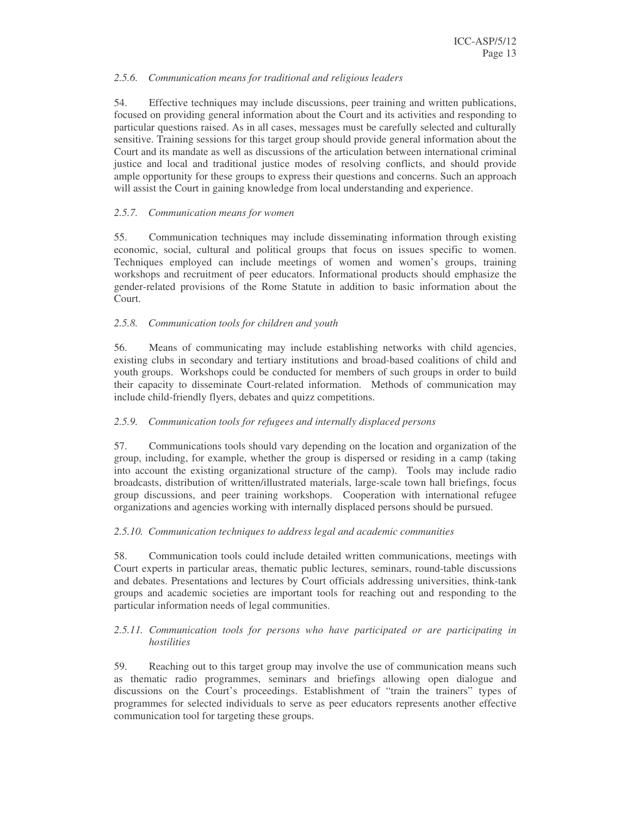## *2.5.6. Communication means for traditional and religious leaders*

54. Effective techniques may include discussions, peer training and written publications, focused on providing general information about the Court and its activities and responding to particular questions raised. As in all cases, messages must be carefully selected and culturally sensitive. Training sessions for this target group should provide general information about the Court and its mandate as well as discussions of the articulation between international criminal justice and local and traditional justice modes of resolving conflicts, and should provide ample opportunity for these groups to express their questions and concerns. Such an approach will assist the Court in gaining knowledge from local understanding and experience.

# *2.5.7. Communication means for women*

55. Communication techniques may include disseminating information through existing economic, social, cultural and political groups that focus on issues specific to women. Techniques employed can include meetings of women and women's groups, training workshops and recruitment of peer educators. Informational products should emphasize the gender-related provisions of the Rome Statute in addition to basic information about the Court.

# *2.5.8. Communication tools for children and youth*

56. Means of communicating may include establishing networks with child agencies, existing clubs in secondary and tertiary institutions and broad-based coalitions of child and youth groups. Workshops could be conducted for members of such groups in order to build their capacity to disseminate Court-related information. Methods of communication may include child-friendly flyers, debates and quizz competitions.

## *2.5.9. Communication tools for refugees and internally displaced persons*

57. Communications tools should vary depending on the location and organization of the group, including, for example, whether the group is dispersed or residing in a camp (taking into account the existing organizational structure of the camp). Tools may include radio broadcasts, distribution of written/illustrated materials, large-scale town hall briefings, focus group discussions, and peer training workshops. Cooperation with international refugee organizations and agencies working with internally displaced persons should be pursued.

## *2.5.10. Communication techniques to address legal and academic communities*

58. Communication tools could include detailed written communications, meetings with Court experts in particular areas, thematic public lectures, seminars, round-table discussions and debates. Presentations and lectures by Court officials addressing universities, think-tank groups and academic societies are important tools for reaching out and responding to the particular information needs of legal communities.

## *2.5.11. Communication tools for persons who have participated or are participating in hostilities*

59. Reaching out to this target group may involve the use of communication means such as thematic radio programmes, seminars and briefings allowing open dialogue and discussions on the Court's proceedings. Establishment of "train the trainers" types of programmes for selected individuals to serve as peer educators represents another effective communication tool for targeting these groups.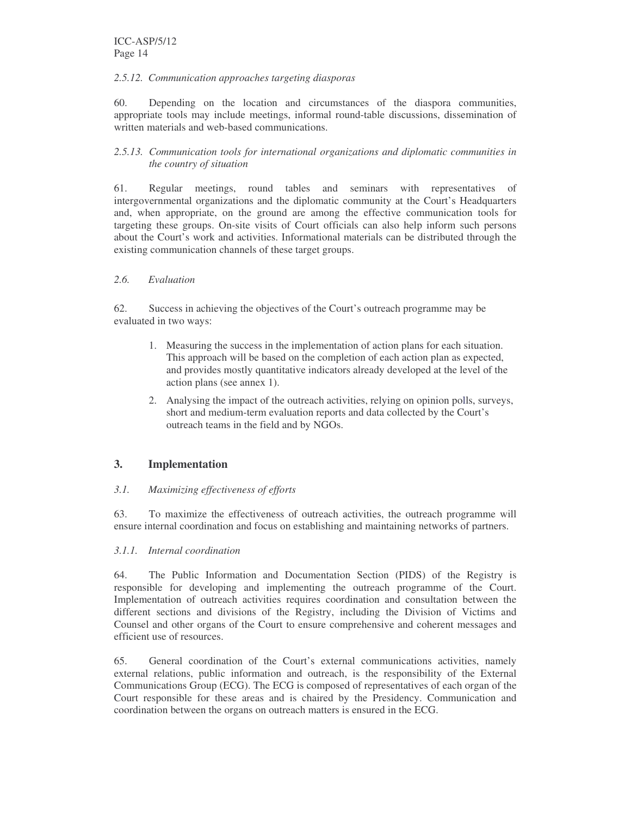#### *2.5.12. Communication approaches targeting diasporas*

60. Depending on the location and circumstances of the diaspora communities, appropriate tools may include meetings, informal round-table discussions, dissemination of written materials and web-based communications.

# *2.5.13. Communication tools for international organizations and diplomatic communities in the country of situation*

61. Regular meetings, round tables and seminars with representatives of intergovernmental organizations and the diplomatic community at the Court's Headquarters and, when appropriate, on the ground are among the effective communication tools for targeting these groups. On-site visits of Court officials can also help inform such persons about the Court's work and activities. Informational materials can be distributed through the existing communication channels of these target groups.

## *2.6. Evaluation*

62. Success in achieving the objectives of the Court's outreach programme may be evaluated in two ways:

- 1. Measuring the success in the implementation of action plans for each situation. This approach will be based on the completion of each action plan as expected, and provides mostly quantitative indicators already developed at the level of the action plans (see annex 1).
- 2. Analysing the impact of the outreach activities, relying on opinion polls, surveys, short and medium-term evaluation reports and data collected by the Court's outreach teams in the field and by NGOs.

# **3. Implementation**

## *3.1. Maximizing effectiveness of efforts*

63. To maximize the effectiveness of outreach activities, the outreach programme will ensure internal coordination and focus on establishing and maintaining networks of partners.

#### *3.1.1. Internal coordination*

64. The Public Information and Documentation Section (PIDS) of the Registry is responsible for developing and implementing the outreach programme of the Court. Implementation of outreach activities requires coordination and consultation between the different sections and divisions of the Registry, including the Division of Victims and Counsel and other organs of the Court to ensure comprehensive and coherent messages and efficient use of resources.

65. General coordination of the Court's external communications activities, namely external relations, public information and outreach, is the responsibility of the External Communications Group (ECG). The ECG is composed of representatives of each organ of the Court responsible for these areas and is chaired by the Presidency. Communication and coordination between the organs on outreach matters is ensured in the ECG.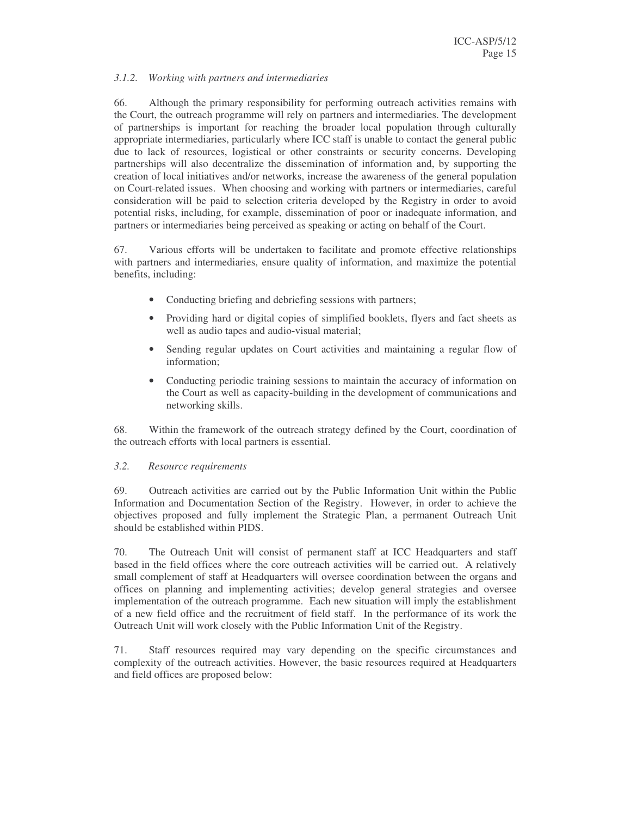## *3.1.2. Working with partners and intermediaries*

66. Although the primary responsibility for performing outreach activities remains with the Court, the outreach programme will rely on partners and intermediaries. The development of partnerships is important for reaching the broader local population through culturally appropriate intermediaries, particularly where ICC staff is unable to contact the general public due to lack of resources, logistical or other constraints or security concerns. Developing partnerships will also decentralize the dissemination of information and, by supporting the creation of local initiatives and/or networks, increase the awareness of the general population on Court-related issues. When choosing and working with partners or intermediaries, careful consideration will be paid to selection criteria developed by the Registry in order to avoid potential risks, including, for example, dissemination of poor or inadequate information, and partners or intermediaries being perceived as speaking or acting on behalf of the Court.

67. Various efforts will be undertaken to facilitate and promote effective relationships with partners and intermediaries, ensure quality of information, and maximize the potential benefits, including:

- Conducting briefing and debriefing sessions with partners;
- Providing hard or digital copies of simplified booklets, flyers and fact sheets as well as audio tapes and audio-visual material;
- Sending regular updates on Court activities and maintaining a regular flow of information;
- Conducting periodic training sessions to maintain the accuracy of information on the Court as well as capacity-building in the development of communications and networking skills.

68. Within the framework of the outreach strategy defined by the Court, coordination of the outreach efforts with local partners is essential.

#### *3.2. Resource requirements*

69. Outreach activities are carried out by the Public Information Unit within the Public Information and Documentation Section of the Registry. However, in order to achieve the objectives proposed and fully implement the Strategic Plan, a permanent Outreach Unit should be established within PIDS.

70. The Outreach Unit will consist of permanent staff at ICC Headquarters and staff based in the field offices where the core outreach activities will be carried out. A relatively small complement of staff at Headquarters will oversee coordination between the organs and offices on planning and implementing activities; develop general strategies and oversee implementation of the outreach programme. Each new situation will imply the establishment of a new field office and the recruitment of field staff. In the performance of its work the Outreach Unit will work closely with the Public Information Unit of the Registry.

71. Staff resources required may vary depending on the specific circumstances and complexity of the outreach activities. However, the basic resources required at Headquarters and field offices are proposed below: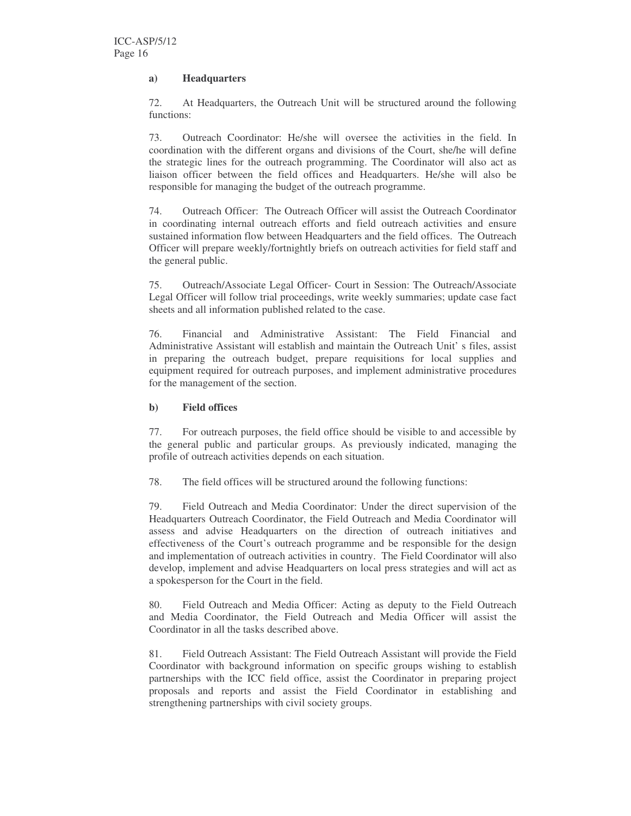# **a) Headquarters**

72. At Headquarters, the Outreach Unit will be structured around the following functions:

73. Outreach Coordinator: He/she will oversee the activities in the field. In coordination with the different organs and divisions of the Court, she/he will define the strategic lines for the outreach programming. The Coordinator will also act as liaison officer between the field offices and Headquarters. He/she will also be responsible for managing the budget of the outreach programme.

74. Outreach Officer: The Outreach Officer will assist the Outreach Coordinator in coordinating internal outreach efforts and field outreach activities and ensure sustained information flow between Headquarters and the field offices. The Outreach Officer will prepare weekly/fortnightly briefs on outreach activities for field staff and the general public.

75. Outreach/Associate Legal Officer- Court in Session: The Outreach/Associate Legal Officer will follow trial proceedings, write weekly summaries; update case fact sheets and all information published related to the case.

76. Financial and Administrative Assistant: The Field Financial and Administrative Assistant will establish and maintain the Outreach Unit' s files, assist in preparing the outreach budget, prepare requisitions for local supplies and equipment required for outreach purposes, and implement administrative procedures for the management of the section.

# **b) Field offices**

77. For outreach purposes, the field office should be visible to and accessible by the general public and particular groups. As previously indicated, managing the profile of outreach activities depends on each situation.

78. The field offices will be structured around the following functions:

79. Field Outreach and Media Coordinator: Under the direct supervision of the Headquarters Outreach Coordinator, the Field Outreach and Media Coordinator will assess and advise Headquarters on the direction of outreach initiatives and effectiveness of the Court's outreach programme and be responsible for the design and implementation of outreach activities in country. The Field Coordinator will also develop, implement and advise Headquarters on local press strategies and will act as a spokesperson for the Court in the field.

80. Field Outreach and Media Officer: Acting as deputy to the Field Outreach and Media Coordinator, the Field Outreach and Media Officer will assist the Coordinator in all the tasks described above.

81. Field Outreach Assistant: The Field Outreach Assistant will provide the Field Coordinator with background information on specific groups wishing to establish partnerships with the ICC field office, assist the Coordinator in preparing project proposals and reports and assist the Field Coordinator in establishing and strengthening partnerships with civil society groups.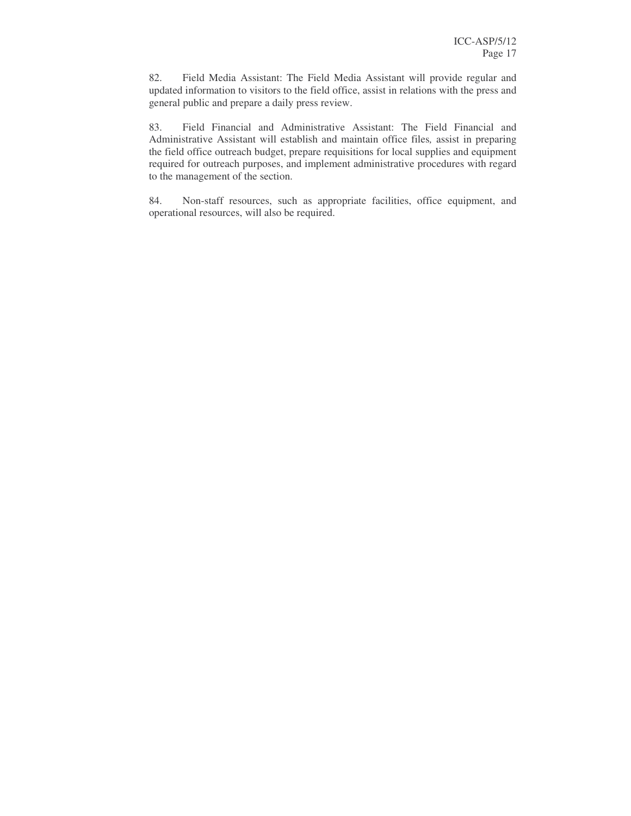82. Field Media Assistant: The Field Media Assistant will provide regular and updated information to visitors to the field office, assist in relations with the press and general public and prepare a daily press review.

83. Field Financial and Administrative Assistant: The Field Financial and Administrative Assistant will establish and maintain office files*,* assist in preparing the field office outreach budget, prepare requisitions for local supplies and equipment required for outreach purposes, and implement administrative procedures with regard to the management of the section.

84. Non-staff resources, such as appropriate facilities, office equipment, and operational resources, will also be required.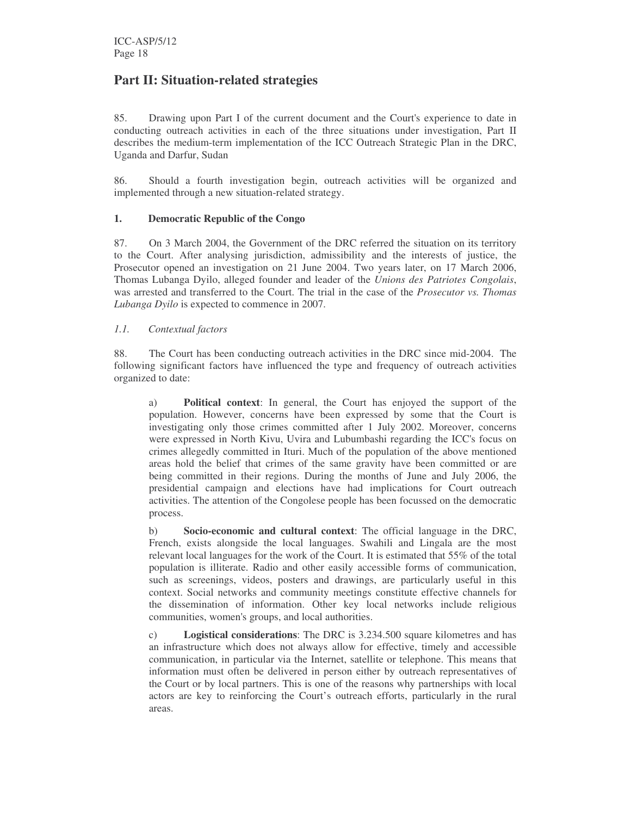# **Part II: Situation-related strategies**

85. Drawing upon Part I of the current document and the Court's experience to date in conducting outreach activities in each of the three situations under investigation, Part II describes the medium-term implementation of the ICC Outreach Strategic Plan in the DRC, Uganda and Darfur, Sudan

86. Should a fourth investigation begin, outreach activities will be organized and implemented through a new situation-related strategy.

# **1. Democratic Republic of the Congo**

87. On 3 March 2004, the Government of the DRC referred the situation on its territory to the Court. After analysing jurisdiction, admissibility and the interests of justice, the Prosecutor opened an investigation on 21 June 2004. Two years later, on 17 March 2006, Thomas Lubanga Dyilo, alleged founder and leader of the *Unions des Patriotes Congolais*, was arrested and transferred to the Court. The trial in the case of the *Prosecutor vs. Thomas Lubanga Dyilo* is expected to commence in 2007.

# *1.1. Contextual factors*

88. The Court has been conducting outreach activities in the DRC since mid-2004. The following significant factors have influenced the type and frequency of outreach activities organized to date:

a) **Political context**: In general, the Court has enjoyed the support of the population. However, concerns have been expressed by some that the Court is investigating only those crimes committed after 1 July 2002. Moreover, concerns were expressed in North Kivu, Uvira and Lubumbashi regarding the ICC's focus on crimes allegedly committed in Ituri. Much of the population of the above mentioned areas hold the belief that crimes of the same gravity have been committed or are being committed in their regions. During the months of June and July 2006, the presidential campaign and elections have had implications for Court outreach activities. The attention of the Congolese people has been focussed on the democratic process.

b) **Socio-economic and cultural context**: The official language in the DRC, French, exists alongside the local languages. Swahili and Lingala are the most relevant local languages for the work of the Court. It is estimated that 55% of the total population is illiterate. Radio and other easily accessible forms of communication, such as screenings, videos, posters and drawings, are particularly useful in this context. Social networks and community meetings constitute effective channels for the dissemination of information. Other key local networks include religious communities, women's groups, and local authorities.

c) **Logistical considerations**: The DRC is 3.234.500 square kilometres and has an infrastructure which does not always allow for effective, timely and accessible communication, in particular via the Internet, satellite or telephone. This means that information must often be delivered in person either by outreach representatives of the Court or by local partners. This is one of the reasons why partnerships with local actors are key to reinforcing the Court's outreach efforts, particularly in the rural areas.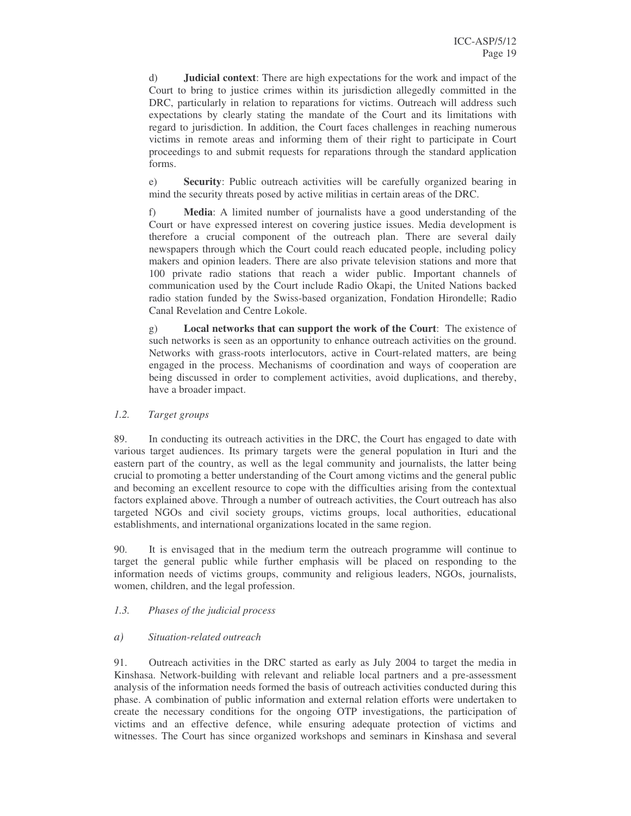d) **Judicial context**: There are high expectations for the work and impact of the Court to bring to justice crimes within its jurisdiction allegedly committed in the DRC, particularly in relation to reparations for victims. Outreach will address such expectations by clearly stating the mandate of the Court and its limitations with regard to jurisdiction. In addition, the Court faces challenges in reaching numerous victims in remote areas and informing them of their right to participate in Court proceedings to and submit requests for reparations through the standard application forms.

e) **Security**: Public outreach activities will be carefully organized bearing in mind the security threats posed by active militias in certain areas of the DRC.

f) **Media**: A limited number of journalists have a good understanding of the Court or have expressed interest on covering justice issues. Media development is therefore a crucial component of the outreach plan. There are several daily newspapers through which the Court could reach educated people, including policy makers and opinion leaders. There are also private television stations and more that 100 private radio stations that reach a wider public. Important channels of communication used by the Court include Radio Okapi, the United Nations backed radio station funded by the Swiss-based organization, Fondation Hirondelle; Radio Canal Revelation and Centre Lokole.

g) **Local networks that can support the work of the Court**: The existence of such networks is seen as an opportunity to enhance outreach activities on the ground. Networks with grass-roots interlocutors, active in Court-related matters, are being engaged in the process. Mechanisms of coordination and ways of cooperation are being discussed in order to complement activities, avoid duplications, and thereby, have a broader impact.

*1.2. Target groups*

89. In conducting its outreach activities in the DRC, the Court has engaged to date with various target audiences. Its primary targets were the general population in Ituri and the eastern part of the country, as well as the legal community and journalists, the latter being crucial to promoting a better understanding of the Court among victims and the general public and becoming an excellent resource to cope with the difficulties arising from the contextual factors explained above. Through a number of outreach activities, the Court outreach has also targeted NGOs and civil society groups, victims groups, local authorities, educational establishments, and international organizations located in the same region.

90. It is envisaged that in the medium term the outreach programme will continue to target the general public while further emphasis will be placed on responding to the information needs of victims groups, community and religious leaders, NGOs, journalists, women, children, and the legal profession.

## *1.3. Phases of the judicial process*

## *a) Situation-related outreach*

91. Outreach activities in the DRC started as early as July 2004 to target the media in Kinshasa. Network-building with relevant and reliable local partners and a pre-assessment analysis of the information needs formed the basis of outreach activities conducted during this phase. A combination of public information and external relation efforts were undertaken to create the necessary conditions for the ongoing OTP investigations, the participation of victims and an effective defence, while ensuring adequate protection of victims and witnesses. The Court has since organized workshops and seminars in Kinshasa and several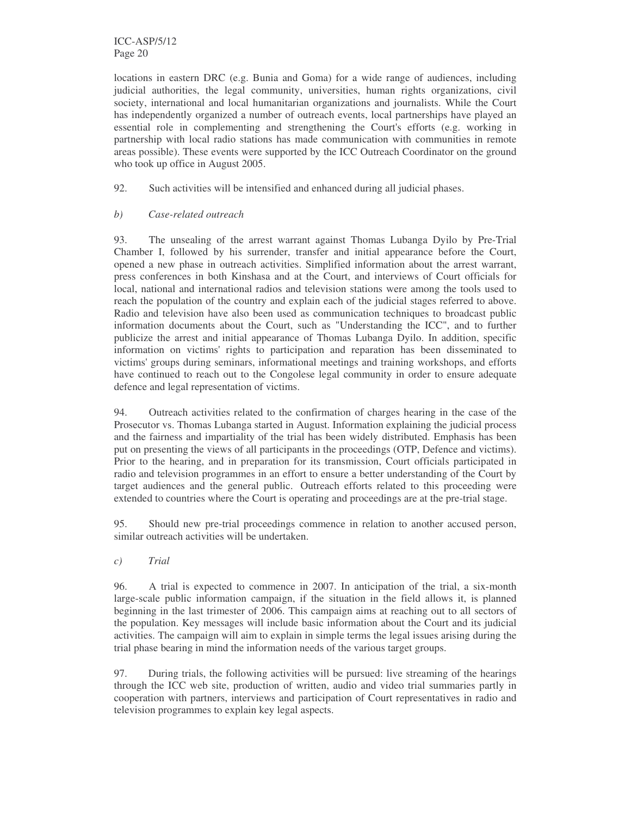ICC-ASP/5/12 Page 20

locations in eastern DRC (e.g. Bunia and Goma) for a wide range of audiences, including judicial authorities, the legal community, universities, human rights organizations, civil society, international and local humanitarian organizations and journalists. While the Court has independently organized a number of outreach events, local partnerships have played an essential role in complementing and strengthening the Court's efforts (e.g. working in partnership with local radio stations has made communication with communities in remote areas possible). These events were supported by the ICC Outreach Coordinator on the ground who took up office in August 2005.

92. Such activities will be intensified and enhanced during all judicial phases.

#### *b) Case-related outreach*

93. The unsealing of the arrest warrant against Thomas Lubanga Dyilo by Pre-Trial Chamber I, followed by his surrender, transfer and initial appearance before the Court, opened a new phase in outreach activities. Simplified information about the arrest warrant, press conferences in both Kinshasa and at the Court, and interviews of Court officials for local, national and international radios and television stations were among the tools used to reach the population of the country and explain each of the judicial stages referred to above. Radio and television have also been used as communication techniques to broadcast public information documents about the Court, such as "Understanding the ICC", and to further publicize the arrest and initial appearance of Thomas Lubanga Dyilo. In addition, specific information on victims'rights to participation and reparation has been disseminated to victims'groups during seminars, informational meetings and training workshops, and efforts have continued to reach out to the Congolese legal community in order to ensure adequate defence and legal representation of victims.

94. Outreach activities related to the confirmation of charges hearing in the case of the Prosecutor vs. Thomas Lubanga started in August. Information explaining the judicial process and the fairness and impartiality of the trial has been widely distributed. Emphasis has been put on presenting the views of all participants in the proceedings (OTP, Defence and victims). Prior to the hearing, and in preparation for its transmission, Court officials participated in radio and television programmes in an effort to ensure a better understanding of the Court by target audiences and the general public. Outreach efforts related to this proceeding were extended to countries where the Court is operating and proceedings are at the pre-trial stage.

95. Should new pre-trial proceedings commence in relation to another accused person, similar outreach activities will be undertaken.

*c) Trial*

96. A trial is expected to commence in 2007. In anticipation of the trial, a six-month large-scale public information campaign, if the situation in the field allows it, is planned beginning in the last trimester of 2006. This campaign aims at reaching out to all sectors of the population. Key messages will include basic information about the Court and its judicial activities. The campaign will aim to explain in simple terms the legal issues arising during the trial phase bearing in mind the information needs of the various target groups.

97. During trials, the following activities will be pursued: live streaming of the hearings through the ICC web site, production of written, audio and video trial summaries partly in cooperation with partners, interviews and participation of Court representatives in radio and television programmes to explain key legal aspects.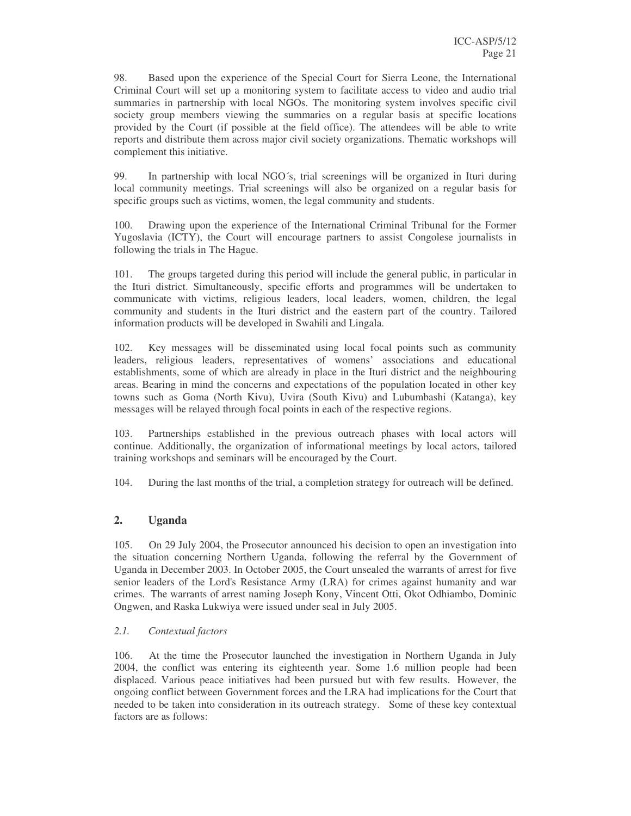98. Based upon the experience of the Special Court for Sierra Leone, the International Criminal Court will set up a monitoring system to facilitate access to video and audio trial summaries in partnership with local NGOs. The monitoring system involves specific civil society group members viewing the summaries on a regular basis at specific locations provided by the Court (if possible at the field office). The attendees will be able to write reports and distribute them across major civil society organizations. Thematic workshops will complement this initiative.

99. In partnership with local NGO´s, trial screenings will be organized in Ituri during local community meetings. Trial screenings will also be organized on a regular basis for specific groups such as victims, women, the legal community and students.

100. Drawing upon the experience of the International Criminal Tribunal for the Former Yugoslavia (ICTY), the Court will encourage partners to assist Congolese journalists in following the trials in The Hague.

101. The groups targeted during this period will include the general public, in particular in the Ituri district. Simultaneously, specific efforts and programmes will be undertaken to communicate with victims, religious leaders, local leaders, women, children, the legal community and students in the Ituri district and the eastern part of the country. Tailored information products will be developed in Swahili and Lingala.

102. Key messages will be disseminated using local focal points such as community leaders, religious leaders, representatives of womens' associations and educational establishments, some of which are already in place in the Ituri district and the neighbouring areas. Bearing in mind the concerns and expectations of the population located in other key towns such as Goma (North Kivu), Uvira (South Kivu) and Lubumbashi (Katanga), key messages will be relayed through focal points in each of the respective regions.

103. Partnerships established in the previous outreach phases with local actors will continue. Additionally, the organization of informational meetings by local actors, tailored training workshops and seminars will be encouraged by the Court.

104. During the last months of the trial, a completion strategy for outreach will be defined.

# **2. Uganda**

105. On 29 July 2004, the Prosecutor announced his decision to open an investigation into the situation concerning Northern Uganda, following the referral by the Government of Uganda in December 2003. In October 2005, the Court unsealed the warrants of arrest for five senior leaders of the Lord's Resistance Army (LRA) for crimes against humanity and war crimes. The warrants of arrest naming Joseph Kony, Vincent Otti, Okot Odhiambo, Dominic Ongwen, and Raska Lukwiya were issued under seal in July 2005.

## *2.1. Contextual factors*

106. At the time the Prosecutor launched the investigation in Northern Uganda in July 2004, the conflict was entering its eighteenth year. Some 1.6 million people had been displaced. Various peace initiatives had been pursued but with few results. However, the ongoing conflict between Government forces and the LRA had implications for the Court that needed to be taken into consideration in its outreach strategy. Some of these key contextual factors are as follows: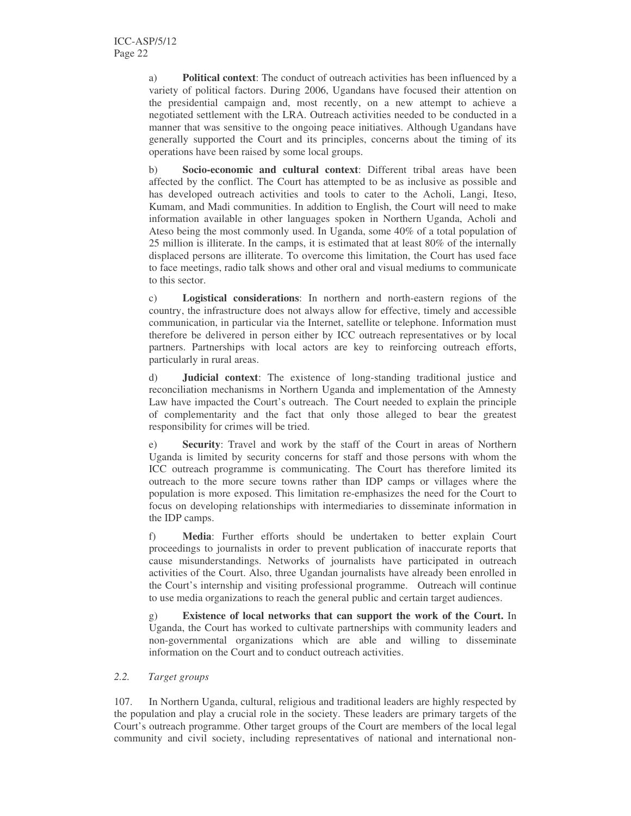a) **Political context**: The conduct of outreach activities has been influenced by a variety of political factors. During 2006, Ugandans have focused their attention on the presidential campaign and, most recently, on a new attempt to achieve a negotiated settlement with the LRA. Outreach activities needed to be conducted in a manner that was sensitive to the ongoing peace initiatives. Although Ugandans have generally supported the Court and its principles, concerns about the timing of its operations have been raised by some local groups.

b) **Socio-economic and cultural context**: Different tribal areas have been affected by the conflict. The Court has attempted to be as inclusive as possible and has developed outreach activities and tools to cater to the Acholi, Langi, Iteso, Kumam, and Madi communities. In addition to English, the Court will need to make information available in other languages spoken in Northern Uganda, Acholi and Ateso being the most commonly used. In Uganda, some 40% of a total population of 25 million is illiterate. In the camps, it is estimated that at least 80% of the internally displaced persons are illiterate. To overcome this limitation, the Court has used face to face meetings, radio talk shows and other oral and visual mediums to communicate to this sector.

c) **Logistical considerations**: In northern and north-eastern regions of the country, the infrastructure does not always allow for effective, timely and accessible communication, in particular via the Internet, satellite or telephone. Information must therefore be delivered in person either by ICC outreach representatives or by local partners. Partnerships with local actors are key to reinforcing outreach efforts, particularly in rural areas.

d) **Judicial context**: The existence of long-standing traditional justice and reconciliation mechanisms in Northern Uganda and implementation of the Amnesty Law have impacted the Court's outreach. The Court needed to explain the principle of complementarity and the fact that only those alleged to bear the greatest responsibility for crimes will be tried.

e) **Security**: Travel and work by the staff of the Court in areas of Northern Uganda is limited by security concerns for staff and those persons with whom the ICC outreach programme is communicating. The Court has therefore limited its outreach to the more secure towns rather than IDP camps or villages where the population is more exposed. This limitation re-emphasizes the need for the Court to focus on developing relationships with intermediaries to disseminate information in the IDP camps.

f) **Media**: Further efforts should be undertaken to better explain Court proceedings to journalists in order to prevent publication of inaccurate reports that cause misunderstandings. Networks of journalists have participated in outreach activities of the Court. Also, three Ugandan journalists have already been enrolled in the Court's internship and visiting professional programme. Outreach will continue to use media organizations to reach the general public and certain target audiences.

g) **Existence of local networks that can support the work of the Court.** In Uganda, the Court has worked to cultivate partnerships with community leaders and non-governmental organizations which are able and willing to disseminate information on the Court and to conduct outreach activities.

## *2.2. Target groups*

107. In Northern Uganda, cultural, religious and traditional leaders are highly respected by the population and play a crucial role in the society. These leaders are primary targets of the Court's outreach programme. Other target groups of the Court are members of the local legal community and civil society, including representatives of national and international non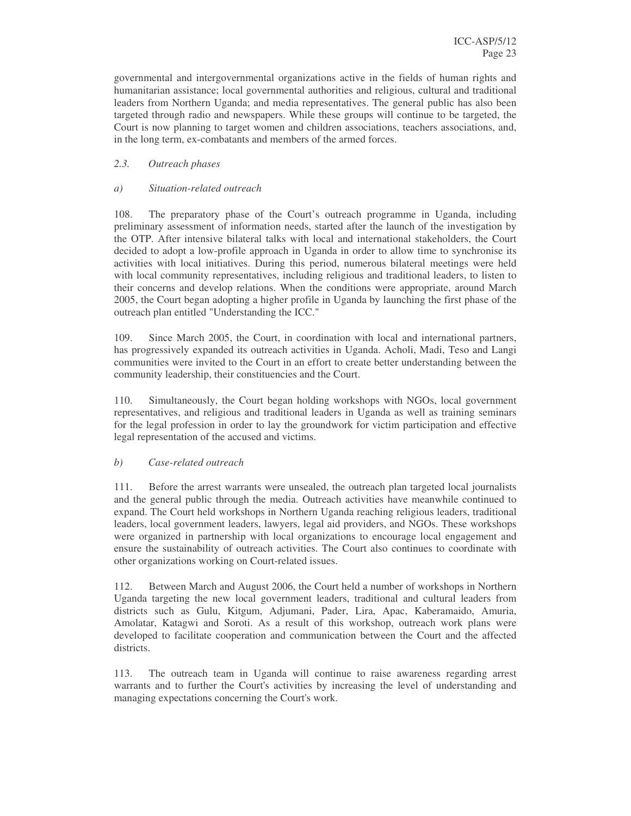governmental and intergovernmental organizations active in the fields of human rights and humanitarian assistance; local governmental authorities and religious, cultural and traditional leaders from Northern Uganda; and media representatives. The general public has also been targeted through radio and newspapers. While these groups will continue to be targeted, the Court is now planning to target women and children associations, teachers associations, and, in the long term, ex-combatants and members of the armed forces.

# *2.3. Outreach phases*

# *a) Situation-related outreach*

108. The preparatory phase of the Court's outreach programme in Uganda, including preliminary assessment of information needs, started after the launch of the investigation by the OTP. After intensive bilateral talks with local and international stakeholders, the Court decided to adopt a low-profile approach in Uganda in order to allow time to synchronise its activities with local initiatives. During this period, numerous bilateral meetings were held with local community representatives, including religious and traditional leaders, to listen to their concerns and develop relations. When the conditions were appropriate, around March 2005, the Court began adopting a higher profile in Uganda by launching the first phase of the outreach plan entitled "Understanding the ICC."

109. Since March 2005, the Court, in coordination with local and international partners, has progressively expanded its outreach activities in Uganda. Acholi, Madi, Teso and Langi communities were invited to the Court in an effort to create better understanding between the community leadership, their constituencies and the Court.

110. Simultaneously, the Court began holding workshops with NGOs, local government representatives, and religious and traditional leaders in Uganda as well as training seminars for the legal profession in order to lay the groundwork for victim participation and effective legal representation of the accused and victims.

## *b) Case-related outreach*

111. Before the arrest warrants were unsealed, the outreach plan targeted local journalists and the general public through the media. Outreach activities have meanwhile continued to expand. The Court held workshops in Northern Uganda reaching religious leaders, traditional leaders, local government leaders, lawyers, legal aid providers, and NGOs. These workshops were organized in partnership with local organizations to encourage local engagement and ensure the sustainability of outreach activities. The Court also continues to coordinate with other organizations working on Court-related issues.

112. Between March and August 2006, the Court held a number of workshops in Northern Uganda targeting the new local government leaders, traditional and cultural leaders from districts such as Gulu, Kitgum, Adjumani, Pader, Lira, Apac, Kaberamaido, Amuria, Amolatar, Katagwi and Soroti. As a result of this workshop, outreach work plans were developed to facilitate cooperation and communication between the Court and the affected districts.

113. The outreach team in Uganda will continue to raise awareness regarding arrest warrants and to further the Court's activities by increasing the level of understanding and managing expectations concerning the Court's work.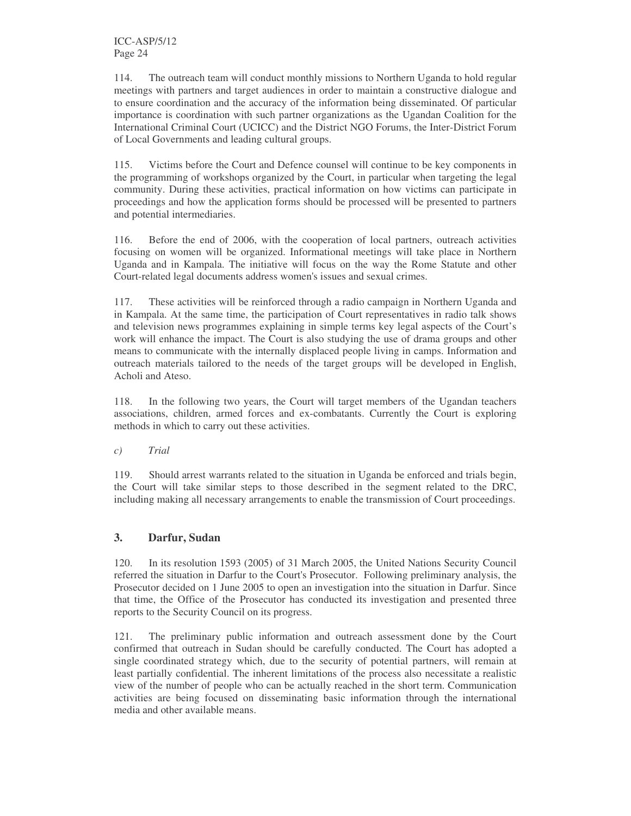114. The outreach team will conduct monthly missions to Northern Uganda to hold regular meetings with partners and target audiences in order to maintain a constructive dialogue and to ensure coordination and the accuracy of the information being disseminated. Of particular importance is coordination with such partner organizations as the Ugandan Coalition for the International Criminal Court (UCICC) and the District NGO Forums, the Inter-District Forum of Local Governments and leading cultural groups.

115. Victims before the Court and Defence counsel will continue to be key components in the programming of workshops organized by the Court, in particular when targeting the legal community. During these activities, practical information on how victims can participate in proceedings and how the application forms should be processed will be presented to partners and potential intermediaries.

116. Before the end of 2006, with the cooperation of local partners, outreach activities focusing on women will be organized. Informational meetings will take place in Northern Uganda and in Kampala. The initiative will focus on the way the Rome Statute and other Court-related legal documents address women's issues and sexual crimes.

117. These activities will be reinforced through a radio campaign in Northern Uganda and in Kampala. At the same time, the participation of Court representatives in radio talk shows and television news programmes explaining in simple terms key legal aspects of the Court's work will enhance the impact. The Court is also studying the use of drama groups and other means to communicate with the internally displaced people living in camps. Information and outreach materials tailored to the needs of the target groups will be developed in English, Acholi and Ateso.

118. In the following two years, the Court will target members of the Ugandan teachers associations, children, armed forces and ex-combatants. Currently the Court is exploring methods in which to carry out these activities.

*c) Trial*

119. Should arrest warrants related to the situation in Uganda be enforced and trials begin, the Court will take similar steps to those described in the segment related to the DRC, including making all necessary arrangements to enable the transmission of Court proceedings.

# **3. Darfur, Sudan**

120. In its resolution 1593 (2005) of 31 March 2005, the United Nations Security Council referred the situation in Darfur to the Court's Prosecutor. Following preliminary analysis, the Prosecutor decided on 1 June 2005 to open an investigation into the situation in Darfur. Since that time, the Office of the Prosecutor has conducted its investigation and presented three reports to the Security Council on its progress.

121. The preliminary public information and outreach assessment done by the Court confirmed that outreach in Sudan should be carefully conducted. The Court has adopted a single coordinated strategy which, due to the security of potential partners, will remain at least partially confidential. The inherent limitations of the process also necessitate a realistic view of the number of people who can be actually reached in the short term. Communication activities are being focused on disseminating basic information through the international media and other available means.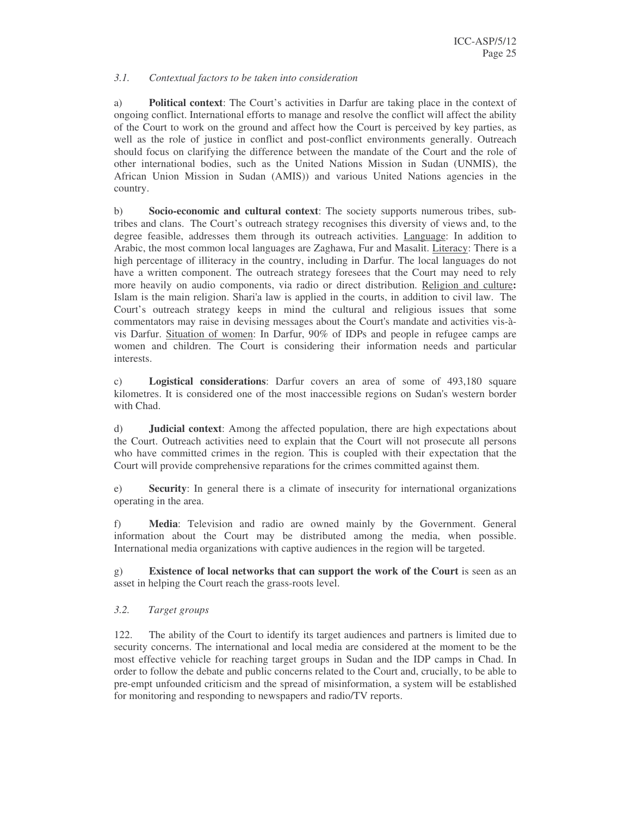## *3.1. Contextual factors to be taken into consideration*

a) **Political context**: The Court's activities in Darfur are taking place in the context of ongoing conflict. International efforts to manage and resolve the conflict will affect the ability of the Court to work on the ground and affect how the Court is perceived by key parties, as well as the role of justice in conflict and post-conflict environments generally. Outreach should focus on clarifying the difference between the mandate of the Court and the role of other international bodies, such as the United Nations Mission in Sudan (UNMIS), the African Union Mission in Sudan (AMIS)) and various United Nations agencies in the country.

b) **Socio-economic and cultural context**: The society supports numerous tribes, subtribes and clans. The Court's outreach strategy recognises this diversity of views and, to the degree feasible, addresses them through its outreach activities. Language: In addition to Arabic, the most common local languages are Zaghawa, Fur and Masalit. Literacy: There is a high percentage of illiteracy in the country, including in Darfur. The local languages do not have a written component. The outreach strategy foresees that the Court may need to rely more heavily on audio components, via radio or direct distribution. Religion and culture**:** Islam is the main religion. Shari'a law is applied in the courts, in addition to civil law. The Court's outreach strategy keeps in mind the cultural and religious issues that some commentators may raise in devising messages about the Court's mandate and activities vis-àvis Darfur. Situation of women: In Darfur, 90% of IDPs and people in refugee camps are women and children. The Court is considering their information needs and particular interests.

c) **Logistical considerations**: Darfur covers an area of some of 493,180 square kilometres. It is considered one of the most inaccessible regions on Sudan's western border with Chad.

d) **Judicial context**: Among the affected population, there are high expectations about the Court. Outreach activities need to explain that the Court will not prosecute all persons who have committed crimes in the region. This is coupled with their expectation that the Court will provide comprehensive reparations for the crimes committed against them.

e) **Security**: In general there is a climate of insecurity for international organizations operating in the area.

f) **Media**: Television and radio are owned mainly by the Government. General information about the Court may be distributed among the media, when possible. International media organizations with captive audiences in the region will be targeted.

g) **Existence of local networks that can support the work of the Court** is seen as an asset in helping the Court reach the grass-roots level.

## *3.2. Target groups*

122. The ability of the Court to identify its target audiences and partners is limited due to security concerns. The international and local media are considered at the moment to be the most effective vehicle for reaching target groups in Sudan and the IDP camps in Chad. In order to follow the debate and public concerns related to the Court and, crucially, to be able to pre-empt unfounded criticism and the spread of misinformation, a system will be established for monitoring and responding to newspapers and radio/TV reports.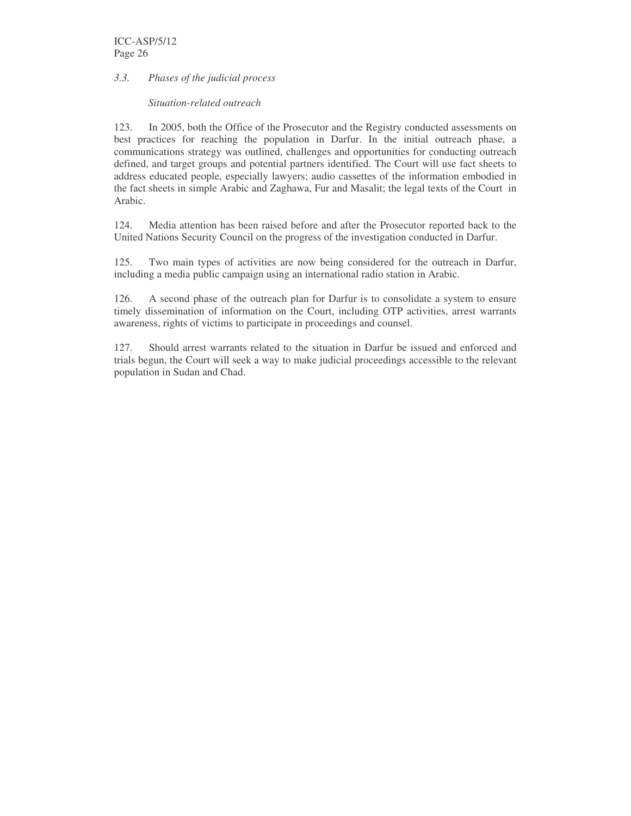# *3.3. Phases of the judicial process*

#### *Situation-related outreach*

123. In 2005, both the Office of the Prosecutor and the Registry conducted assessments on best practices for reaching the population in Darfur. In the initial outreach phase, a communications strategy was outlined, challenges and opportunities for conducting outreach defined, and target groups and potential partners identified. The Court will use fact sheets to address educated people, especially lawyers; audio cassettes of the information embodied in the fact sheets in simple Arabic and Zaghawa, Fur and Masalit; the legal texts of the Court in Arabic.

124. Media attention has been raised before and after the Prosecutor reported back to the United Nations Security Council on the progress of the investigation conducted in Darfur.

125. Two main types of activities are now being considered for the outreach in Darfur, including a media public campaign using an international radio station in Arabic.

126. A second phase of the outreach plan for Darfur is to consolidate a system to ensure timely dissemination of information on the Court, including OTP activities, arrest warrants awareness, rights of victims to participate in proceedings and counsel.

127. Should arrest warrants related to the situation in Darfur be issued and enforced and trials begun, the Court will seek a way to make judicial proceedings accessible to the relevant population in Sudan and Chad.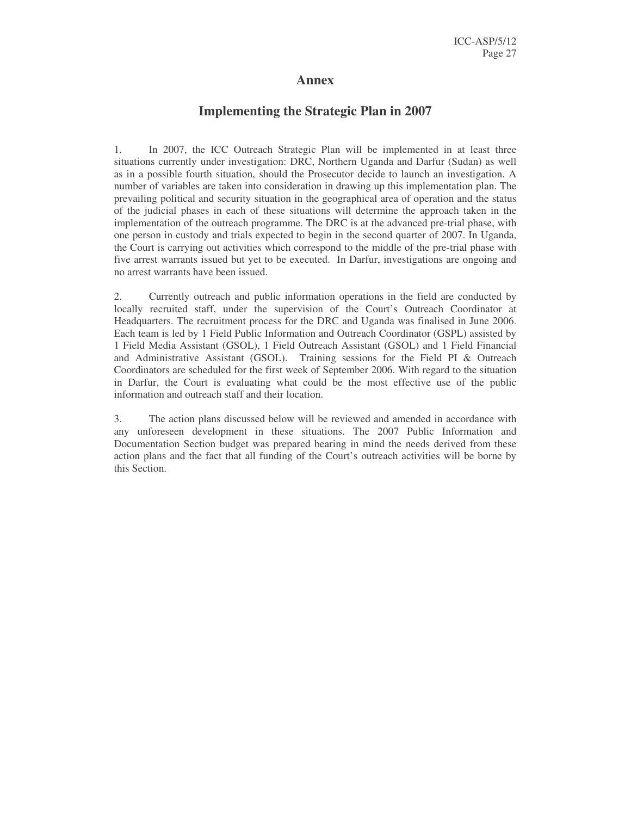# **Annex**

# **Implementing the Strategic Plan in 2007**

1. In 2007, the ICC Outreach Strategic Plan will be implemented in at least three situations currently under investigation: DRC, Northern Uganda and Darfur (Sudan) as well as in a possible fourth situation, should the Prosecutor decide to launch an investigation. A number of variables are taken into consideration in drawing up this implementation plan. The prevailing political and security situation in the geographical area of operation and the status of the judicial phases in each of these situations will determine the approach taken in the implementation of the outreach programme. The DRC is at the advanced pre-trial phase, with one person in custody and trials expected to begin in the second quarter of 2007. In Uganda, the Court is carrying out activities which correspond to the middle of the pre-trial phase with five arrest warrants issued but yet to be executed. In Darfur, investigations are ongoing and no arrest warrants have been issued.

2. Currently outreach and public information operations in the field are conducted by locally recruited staff, under the supervision of the Court's Outreach Coordinator at Headquarters. The recruitment process for the DRC and Uganda was finalised in June 2006. Each team is led by 1 Field Public Information and Outreach Coordinator (GSPL) assisted by 1 Field Media Assistant (GSOL), 1 Field Outreach Assistant (GSOL) and 1 Field Financial and Administrative Assistant (GSOL). Training sessions for the Field PI & Outreach Coordinators are scheduled for the first week of September 2006. With regard to the situation in Darfur, the Court is evaluating what could be the most effective use of the public information and outreach staff and their location.

3. The action plans discussed below will be reviewed and amended in accordance with any unforeseen development in these situations. The 2007 Public Information and Documentation Section budget was prepared bearing in mind the needs derived from these action plans and the fact that all funding of the Court's outreach activities will be borne by this Section.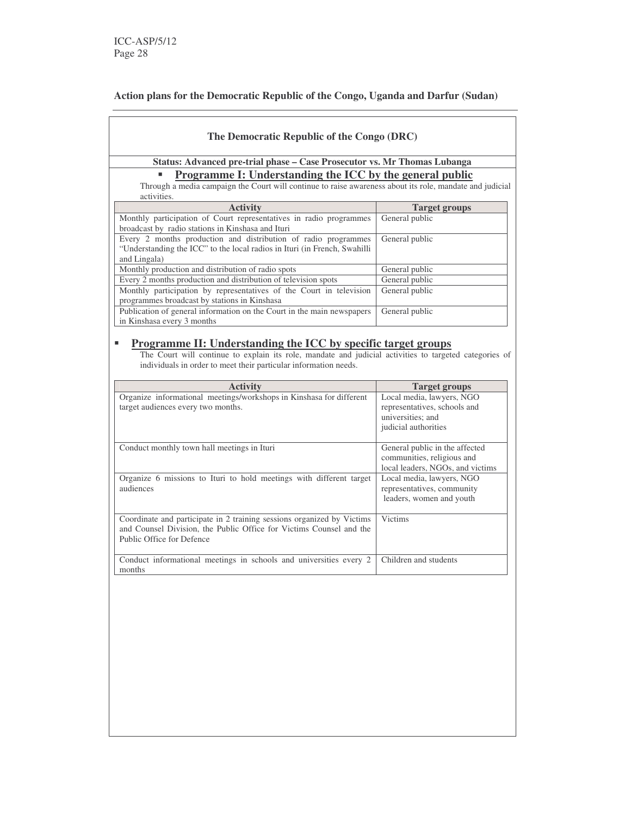# **Action plans for the Democratic Republic of the Congo, Uganda and Darfur (Sudan)**

| The Democratic Republic of the Congo (DRC)                                                                                                                                                                                                         |                                  |  |  |  |  |
|----------------------------------------------------------------------------------------------------------------------------------------------------------------------------------------------------------------------------------------------------|----------------------------------|--|--|--|--|
| Status: Advanced pre-trial phase - Case Prosecutor vs. Mr Thomas Lubanga                                                                                                                                                                           |                                  |  |  |  |  |
|                                                                                                                                                                                                                                                    |                                  |  |  |  |  |
| Programme I: Understanding the ICC by the general public<br>Through a media campaign the Court will continue to raise awareness about its role, mandate and judicial<br>activities.                                                                |                                  |  |  |  |  |
| <b>Activity</b>                                                                                                                                                                                                                                    | <b>Target groups</b>             |  |  |  |  |
| Monthly participation of Court representatives in radio programmes                                                                                                                                                                                 | General public                   |  |  |  |  |
| broadcast by radio stations in Kinshasa and Ituri                                                                                                                                                                                                  |                                  |  |  |  |  |
| Every 2 months production and distribution of radio programmes                                                                                                                                                                                     | General public                   |  |  |  |  |
| "Understanding the ICC" to the local radios in Ituri (in French, Swahilli                                                                                                                                                                          |                                  |  |  |  |  |
| and Lingala)                                                                                                                                                                                                                                       |                                  |  |  |  |  |
| Monthly production and distribution of radio spots                                                                                                                                                                                                 | General public                   |  |  |  |  |
| Every 2 months production and distribution of television spots                                                                                                                                                                                     | General public                   |  |  |  |  |
| Monthly participation by representatives of the Court in television                                                                                                                                                                                | General public                   |  |  |  |  |
| programmes broadcast by stations in Kinshasa                                                                                                                                                                                                       |                                  |  |  |  |  |
| Publication of general information on the Court in the main newspapers                                                                                                                                                                             | General public                   |  |  |  |  |
| in Kinshasa every 3 months                                                                                                                                                                                                                         |                                  |  |  |  |  |
| <b>Programme II: Understanding the ICC by specific target groups</b><br>The Court will continue to explain its role, mandate and judicial activities to targeted categories of<br>individuals in order to meet their particular information needs. |                                  |  |  |  |  |
| <b>Activity</b>                                                                                                                                                                                                                                    | <b>Target groups</b>             |  |  |  |  |
| Organize informational meetings/workshops in Kinshasa for different                                                                                                                                                                                | Local media, lawyers, NGO        |  |  |  |  |
| target audiences every two months.                                                                                                                                                                                                                 | representatives, schools and     |  |  |  |  |
|                                                                                                                                                                                                                                                    | universities; and                |  |  |  |  |
|                                                                                                                                                                                                                                                    | judicial authorities             |  |  |  |  |
| Conduct monthly town hall meetings in Ituri                                                                                                                                                                                                        | General public in the affected   |  |  |  |  |
|                                                                                                                                                                                                                                                    | communities, religious and       |  |  |  |  |
|                                                                                                                                                                                                                                                    | local leaders, NGOs, and victims |  |  |  |  |
| Organize 6 missions to Ituri to hold meetings with different target                                                                                                                                                                                | Local media, lawyers, NGO        |  |  |  |  |
| audiences                                                                                                                                                                                                                                          | representatives, community       |  |  |  |  |
|                                                                                                                                                                                                                                                    | leaders, women and youth         |  |  |  |  |
|                                                                                                                                                                                                                                                    |                                  |  |  |  |  |
| Coordinate and participate in 2 training sessions organized by Victims                                                                                                                                                                             | <b>Victims</b>                   |  |  |  |  |
| and Counsel Division, the Public Office for Victims Counsel and the<br>Public Office for Defence                                                                                                                                                   |                                  |  |  |  |  |
|                                                                                                                                                                                                                                                    |                                  |  |  |  |  |
| Conduct informational meetings in schools and universities every 2                                                                                                                                                                                 | Children and students            |  |  |  |  |
| months                                                                                                                                                                                                                                             |                                  |  |  |  |  |
|                                                                                                                                                                                                                                                    |                                  |  |  |  |  |
|                                                                                                                                                                                                                                                    |                                  |  |  |  |  |
|                                                                                                                                                                                                                                                    |                                  |  |  |  |  |
|                                                                                                                                                                                                                                                    |                                  |  |  |  |  |
|                                                                                                                                                                                                                                                    |                                  |  |  |  |  |
|                                                                                                                                                                                                                                                    |                                  |  |  |  |  |
|                                                                                                                                                                                                                                                    |                                  |  |  |  |  |
|                                                                                                                                                                                                                                                    |                                  |  |  |  |  |
|                                                                                                                                                                                                                                                    |                                  |  |  |  |  |
|                                                                                                                                                                                                                                                    |                                  |  |  |  |  |
|                                                                                                                                                                                                                                                    |                                  |  |  |  |  |
|                                                                                                                                                                                                                                                    |                                  |  |  |  |  |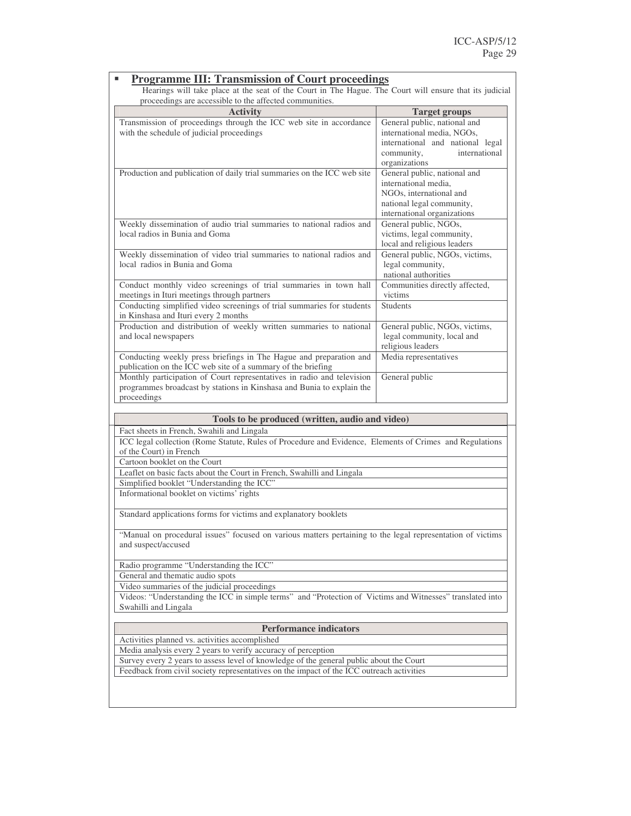| <b>Programme III: Transmission of Court proceedings</b>                                                                                                                             |                                                            |  |
|-------------------------------------------------------------------------------------------------------------------------------------------------------------------------------------|------------------------------------------------------------|--|
| Hearings will take place at the seat of the Court in The Hague. The Court will ensure that its judicial                                                                             |                                                            |  |
| proceedings are accessible to the affected communities.                                                                                                                             |                                                            |  |
| <b>Activity</b>                                                                                                                                                                     | <b>Target groups</b>                                       |  |
| Transmission of proceedings through the ICC web site in accordance<br>with the schedule of judicial proceedings                                                                     | General public, national and<br>international media, NGOs, |  |
|                                                                                                                                                                                     | international and national legal                           |  |
|                                                                                                                                                                                     | international<br>community,                                |  |
|                                                                                                                                                                                     | organizations                                              |  |
| Production and publication of daily trial summaries on the ICC web site                                                                                                             | General public, national and                               |  |
|                                                                                                                                                                                     | international media,                                       |  |
|                                                                                                                                                                                     | NGOs, international and                                    |  |
|                                                                                                                                                                                     | national legal community,                                  |  |
|                                                                                                                                                                                     | international organizations                                |  |
| Weekly dissemination of audio trial summaries to national radios and                                                                                                                | General public, NGOs,                                      |  |
| local radios in Bunia and Goma                                                                                                                                                      | victims, legal community,                                  |  |
|                                                                                                                                                                                     | local and religious leaders                                |  |
| Weekly dissemination of video trial summaries to national radios and                                                                                                                | General public, NGOs, victims,                             |  |
| local radios in Bunia and Goma                                                                                                                                                      | legal community,                                           |  |
|                                                                                                                                                                                     | national authorities                                       |  |
| Conduct monthly video screenings of trial summaries in town hall                                                                                                                    | Communities directly affected,                             |  |
| meetings in Ituri meetings through partners                                                                                                                                         | victims                                                    |  |
| Conducting simplified video screenings of trial summaries for students                                                                                                              | <b>Students</b>                                            |  |
| in Kinshasa and Ituri every 2 months<br>Production and distribution of weekly written summaries to national                                                                         | General public, NGOs, victims,                             |  |
| and local newspapers                                                                                                                                                                | legal community, local and                                 |  |
|                                                                                                                                                                                     | religious leaders                                          |  |
| Conducting weekly press briefings in The Hague and preparation and                                                                                                                  | Media representatives                                      |  |
| publication on the ICC web site of a summary of the briefing                                                                                                                        |                                                            |  |
| Monthly participation of Court representatives in radio and television                                                                                                              | General public                                             |  |
| programmes broadcast by stations in Kinshasa and Bunia to explain the                                                                                                               |                                                            |  |
| proceedings                                                                                                                                                                         |                                                            |  |
|                                                                                                                                                                                     |                                                            |  |
|                                                                                                                                                                                     |                                                            |  |
| Tools to be produced (written, audio and video)                                                                                                                                     |                                                            |  |
| Fact sheets in French, Swahili and Lingala                                                                                                                                          |                                                            |  |
| ICC legal collection (Rome Statute, Rules of Procedure and Evidence, Elements of Crimes and Regulations                                                                             |                                                            |  |
| of the Court) in French                                                                                                                                                             |                                                            |  |
| Cartoon booklet on the Court                                                                                                                                                        |                                                            |  |
| Leaflet on basic facts about the Court in French, Swahilli and Lingala                                                                                                              |                                                            |  |
| Simplified booklet "Understanding the ICC"                                                                                                                                          |                                                            |  |
| Informational booklet on victims' rights                                                                                                                                            |                                                            |  |
| Standard applications forms for victims and explanatory booklets                                                                                                                    |                                                            |  |
|                                                                                                                                                                                     |                                                            |  |
| "Manual on procedural issues" focused on various matters pertaining to the legal representation of victims<br>and suspect/accused                                                   |                                                            |  |
|                                                                                                                                                                                     |                                                            |  |
| Radio programme "Understanding the ICC"                                                                                                                                             |                                                            |  |
| General and thematic audio spots                                                                                                                                                    |                                                            |  |
| Video summaries of the judicial proceedings                                                                                                                                         |                                                            |  |
| Videos: "Understanding the ICC in simple terms" and "Protection of Victims and Witnesses" translated into                                                                           |                                                            |  |
| Swahilli and Lingala                                                                                                                                                                |                                                            |  |
|                                                                                                                                                                                     |                                                            |  |
| <b>Performance indicators</b>                                                                                                                                                       |                                                            |  |
| Activities planned vs. activities accomplished                                                                                                                                      |                                                            |  |
| Media analysis every 2 years to verify accuracy of perception                                                                                                                       |                                                            |  |
| Survey every 2 years to assess level of knowledge of the general public about the Court<br>Feedback from civil society representatives on the impact of the ICC outreach activities |                                                            |  |
|                                                                                                                                                                                     |                                                            |  |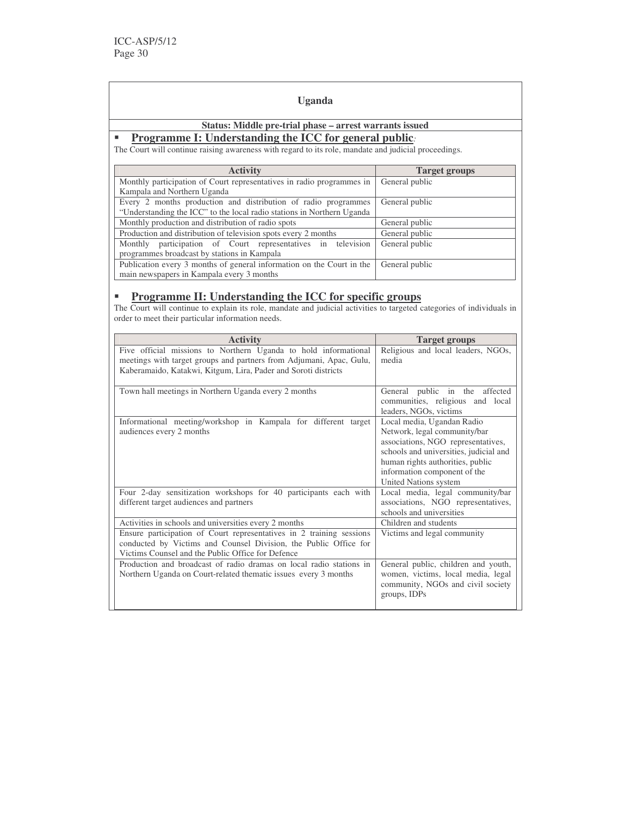#### **Uganda**

# **Status: Middle pre-trial phase – arrest warrants issued**

# **Programme I: Understanding the ICC for general public***:*

The Court will continue raising awareness with regard to its role, mandate and judicial proceedings.

| <b>Activity</b>                                                        | Target groups  |
|------------------------------------------------------------------------|----------------|
| Monthly participation of Court representatives in radio programmes in  | General public |
| Kampala and Northern Uganda                                            |                |
| Every 2 months production and distribution of radio programmes         | General public |
| "Understanding the ICC" to the local radio stations in Northern Uganda |                |
| Monthly production and distribution of radio spots                     | General public |
| Production and distribution of television spots every 2 months         | General public |
| Monthly participation of Court representatives in television           | General public |
| programmes broadcast by stations in Kampala                            |                |
| Publication every 3 months of general information on the Court in the  | General public |
| main newspapers in Kampala every 3 months                              |                |

# **Programme II: Understanding the ICC for specific groups**

The Court will continue to explain its role, mandate and judicial activities to targeted categories of individuals in order to meet their particular information needs.

| <b>Activity</b>                                                                                                                                                                                          | <b>Target groups</b>                                                                                                                                                                                                                    |
|----------------------------------------------------------------------------------------------------------------------------------------------------------------------------------------------------------|-----------------------------------------------------------------------------------------------------------------------------------------------------------------------------------------------------------------------------------------|
| Five official missions to Northern Uganda to hold informational<br>meetings with target groups and partners from Adjumani, Apac, Gulu,<br>Kaberamaido, Katakwi, Kitgum, Lira, Pader and Soroti districts | Religious and local leaders, NGOs,<br>media                                                                                                                                                                                             |
| Town hall meetings in Northern Uganda every 2 months                                                                                                                                                     | General public in the affected<br>communities, religious and local<br>leaders, NGOs, victims                                                                                                                                            |
| Informational meeting/workshop in Kampala for different target<br>audiences every 2 months                                                                                                               | Local media, Ugandan Radio<br>Network, legal community/bar<br>associations, NGO representatives,<br>schools and universities, judicial and<br>human rights authorities, public<br>information component of the<br>United Nations system |
| Four 2-day sensitization workshops for 40 participants each with<br>different target audiences and partners                                                                                              | Local media, legal community/bar<br>associations, NGO representatives,<br>schools and universities                                                                                                                                      |
| Activities in schools and universities every 2 months                                                                                                                                                    | Children and students                                                                                                                                                                                                                   |
| Ensure participation of Court representatives in $2$ training sessions<br>conducted by Victims and Counsel Division, the Public Office for<br>Victims Counsel and the Public Office for Defence          | Victims and legal community                                                                                                                                                                                                             |
| Production and broadcast of radio dramas on local radio stations in<br>Northern Uganda on Court-related thematic issues every 3 months                                                                   | General public, children and youth,<br>women, victims, local media, legal<br>community, NGOs and civil society<br>groups, IDPs                                                                                                          |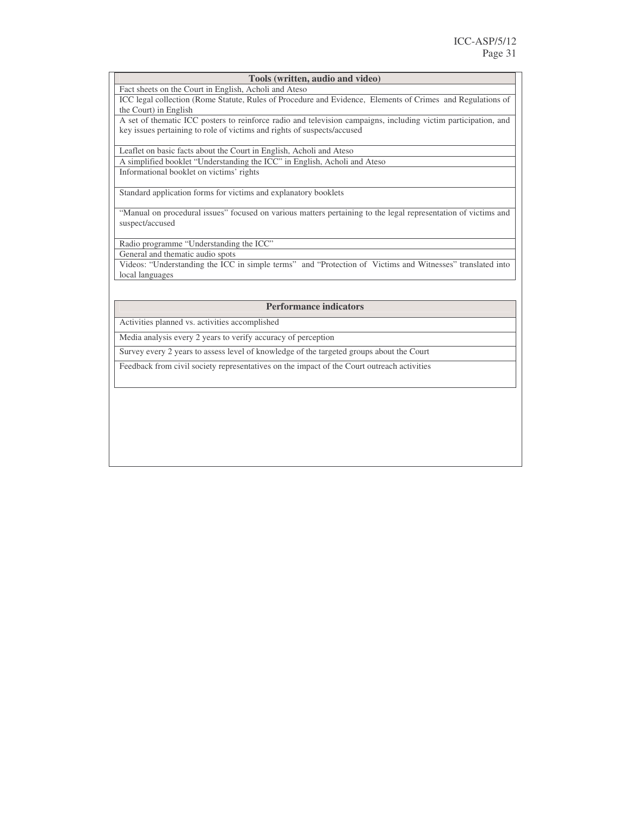#### **Tools (written, audio and video)**

Fact sheets on the Court in English, Acholi and Ateso

ICC legal collection (Rome Statute, Rules of Procedure and Evidence, Elements of Crimes and Regulations of the Court) in English

A set of thematic ICC posters to reinforce radio and television campaigns, including victim participation, and key issues pertaining to role of victims and rights of suspects/accused

Leaflet on basic facts about the Court in English, Acholi and Ateso A simplified booklet "Understanding the ICC" in English, Acholi and Ateso

Informational booklet on victims' rights

Standard application forms for victims and explanatory booklets

"Manual on procedural issues" focused on various matters pertaining to the legal representation of victims and suspect/accused

Radio programme "Understanding the ICC"

General and thematic audio spots

Videos: "Understanding the ICC in simple terms" and "Protection of Victims and Witnesses" translated into local languages

#### **Performance indicators**

Activities planned vs. activities accomplished

Media analysis every 2 years to verify accuracy of perception

Survey every 2 years to assess level of knowledge of the targeted groups about the Court

Feedback from civil society representatives on the impact of the Court outreach activities